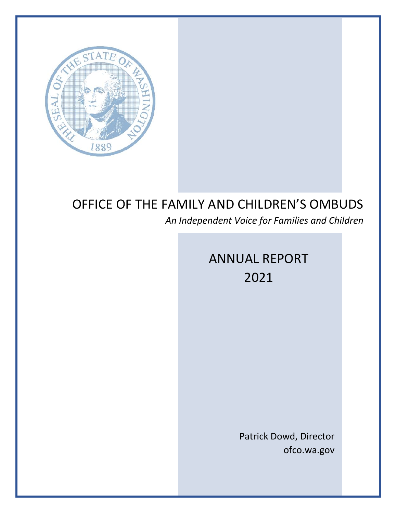

# OFFICE OF THE FAMILY AND CHILDREN'S OMBUDS

*An Independent Voice for Families and Children*

# ANNUAL REPORT 2021

Patrick Dowd, Director ofco.wa.gov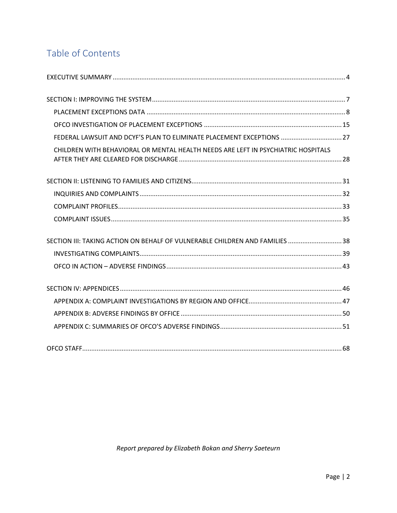# Table of Contents

| FEDERAL LAWSUIT AND DCYF'S PLAN TO ELIMINATE PLACEMENT EXCEPTIONS  27             |  |
|-----------------------------------------------------------------------------------|--|
| CHILDREN WITH BEHAVIORAL OR MENTAL HEALTH NEEDS ARE LEFT IN PSYCHIATRIC HOSPITALS |  |
|                                                                                   |  |
|                                                                                   |  |
|                                                                                   |  |
|                                                                                   |  |
| SECTION III: TAKING ACTION ON BEHALF OF VULNERABLE CHILDREN AND FAMILIES  38      |  |
|                                                                                   |  |
|                                                                                   |  |
|                                                                                   |  |
|                                                                                   |  |
|                                                                                   |  |
|                                                                                   |  |
|                                                                                   |  |

Report prepared by Elizabeth Bokan and Sherry Saeteurn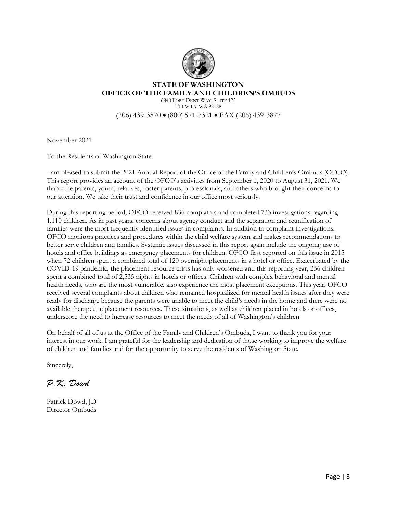

## **STATE OF WASHINGTON OFFICE OF THE FAMILY AND CHILDREN'S OMBUDS**

6840 FORT DENT WAY, SUITE 125 TUKWILA, WA 98188 (206) 439-3870 • (800) 571-7321 • FAX (206) 439-3877

November 2021

To the Residents of Washington State:

I am pleased to submit the 2021 Annual Report of the Office of the Family and Children's Ombuds (OFCO). This report provides an account of the OFCO's activities from September 1, 2020 to August 31, 2021. We thank the parents, youth, relatives, foster parents, professionals, and others who brought their concerns to our attention. We take their trust and confidence in our office most seriously.

During this reporting period, OFCO received 836 complaints and completed 733 investigations regarding 1,110 children. As in past years, concerns about agency conduct and the separation and reunification of families were the most frequently identified issues in complaints. In addition to complaint investigations, OFCO monitors practices and procedures within the child welfare system and makes recommendations to better serve children and families. Systemic issues discussed in this report again include the ongoing use of hotels and office buildings as emergency placements for children. OFCO first reported on this issue in 2015 when 72 children spent a combined total of 120 overnight placements in a hotel or office. Exacerbated by the COVID-19 pandemic, the placement resource crisis has only worsened and this reporting year, 256 children spent a combined total of 2,535 nights in hotels or offices. Children with complex behavioral and mental health needs, who are the most vulnerable, also experience the most placement exceptions. This year, OFCO received several complaints about children who remained hospitalized for mental health issues after they were ready for discharge because the parents were unable to meet the child's needs in the home and there were no available therapeutic placement resources. These situations, as well as children placed in hotels or offices, underscore the need to increase resources to meet the needs of all of Washington's children.

On behalf of all of us at the Office of the Family and Children's Ombuds, I want to thank you for your interest in our work. I am grateful for the leadership and dedication of those working to improve the welfare of children and families and for the opportunity to serve the residents of Washington State.

Sincerely,

*P.K. Dowd*

Patrick Dowd, JD Director Ombuds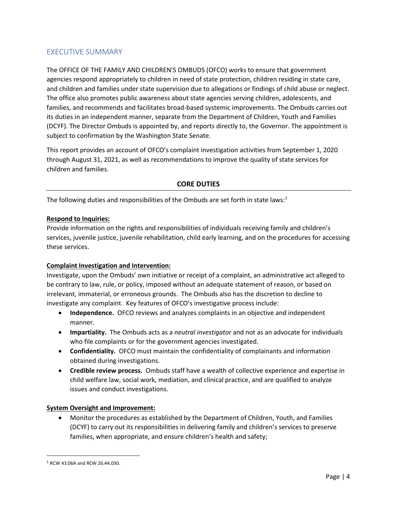# <span id="page-3-0"></span>EXECUTIVE SUMMARY

The OFFICE OF THE FAMILY AND CHILDREN'S OMBUDS (OFCO) works to ensure that government agencies respond appropriately to children in need of state protection, children residing in state care, and children and families under state supervision due to allegations or findings of child abuse or neglect. The office also promotes public awareness about state agencies serving children, adolescents, and families, and recommends and facilitates broad-based systemic improvements. The Ombuds carries out its duties in an independent manner, separate from the Department of Children, Youth and Families (DCYF). The Director Ombuds is appointed by, and reports directly to, the Governor. The appointment is subject to confirmation by the Washington State Senate.

This report provides an account of OFCO's complaint investigation activities from September 1, 2020 through August 31, 2021, as well as recommendations to improve the quality of state services for children and families.

#### **CORE DUTIES**

The following duties and responsibilities of the Ombuds are set forth in state laws: $1$ 

#### **Respond to Inquiries:**

Provide information on the rights and responsibilities of individuals receiving family and children's services, juvenile justice, juvenile rehabilitation, child early learning, and on the procedures for accessing these services.

#### **Complaint Investigation and Intervention:**

Investigate, upon the Ombuds' own initiative or receipt of a complaint, an administrative act alleged to be contrary to law, rule, or policy, imposed without an adequate statement of reason, or based on irrelevant, immaterial, or erroneous grounds. The Ombuds also has the discretion to decline to investigate any complaint. Key features of OFCO's investigative process include:

- **Independence.** OFCO reviews and analyzes complaints in an objective and independent manner.
- **Impartiality.** The Ombuds acts as a *neutral investigator* and not as an advocate for individuals who file complaints or for the government agencies investigated.
- **Confidentiality.** OFCO must maintain the confidentiality of complainants and information obtained during investigations.
- **Credible review process.** Ombuds staff have a wealth of collective experience and expertise in child welfare law, social work, mediation, and clinical practice, and are qualified to analyze issues and conduct investigations.

#### **System Oversight and Improvement:**

• Monitor the procedures as established by the Department of Children, Youth, and Families (DCYF) to carry out its responsibilities in delivering family and children's services to preserve families, when appropriate, and ensure children's health and safety;

<sup>1</sup> RCW 43.06A and RCW 26.44.030.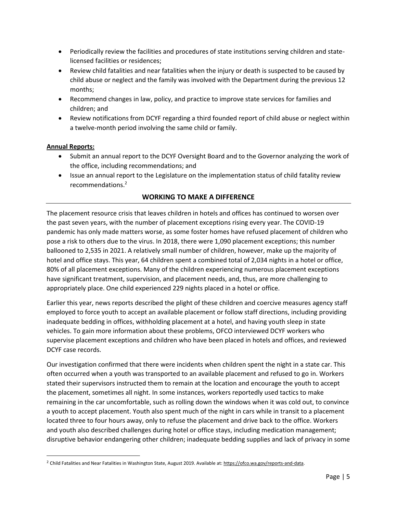- Periodically review the facilities and procedures of state institutions serving children and statelicensed facilities or residences;
- Review child fatalities and near fatalities when the injury or death is suspected to be caused by child abuse or neglect and the family was involved with the Department during the previous 12 months;
- Recommend changes in law, policy, and practice to improve state services for families and children; and
- Review notifications from DCYF regarding a third founded report of child abuse or neglect within a twelve-month period involving the same child or family.

#### **Annual Reports:**

- Submit an annual report to the DCYF Oversight Board and to the Governor analyzing the work of the office, including recommendations; and
- Issue an annual report to the Legislature on the implementation status of child fatality review recommendations.<sup>2</sup>

## **WORKING TO MAKE A DIFFERENCE**

The placement resource crisis that leaves children in hotels and offices has continued to worsen over the past seven years, with the number of placement exceptions rising every year. The COVID-19 pandemic has only made matters worse, as some foster homes have refused placement of children who pose a risk to others due to the virus. In 2018, there were 1,090 placement exceptions; this number ballooned to 2,535 in 2021. A relatively small number of children, however, make up the majority of hotel and office stays. This year, 64 children spent a combined total of 2,034 nights in a hotel or office, 80% of all placement exceptions. Many of the children experiencing numerous placement exceptions have significant treatment, supervision, and placement needs, and, thus, are more challenging to appropriately place. One child experienced 229 nights placed in a hotel or office.

Earlier this year, news reports described the plight of these children and coercive measures agency staff employed to force youth to accept an available placement or follow staff directions, including providing inadequate bedding in offices, withholding placement at a hotel, and having youth sleep in state vehicles. To gain more information about these problems, OFCO interviewed DCYF workers who supervise placement exceptions and children who have been placed in hotels and offices, and reviewed DCYF case records.

Our investigation confirmed that there were incidents when children spent the night in a state car. This often occurred when a youth was transported to an available placement and refused to go in. Workers stated their supervisors instructed them to remain at the location and encourage the youth to accept the placement, sometimes all night. In some instances, workers reportedly used tactics to make remaining in the car uncomfortable, such as rolling down the windows when it was cold out, to convince a youth to accept placement. Youth also spent much of the night in cars while in transit to a placement located three to four hours away, only to refuse the placement and drive back to the office. Workers and youth also described challenges during hotel or office stays, including medication management; disruptive behavior endangering other children; inadequate bedding supplies and lack of privacy in some

<sup>&</sup>lt;sup>2</sup> Child Fatalities and Near Fatalities in Washington State, August 2019. Available at: [https://ofco.wa.gov/reports-and-data.](https://ofco.wa.gov/reports-and-data)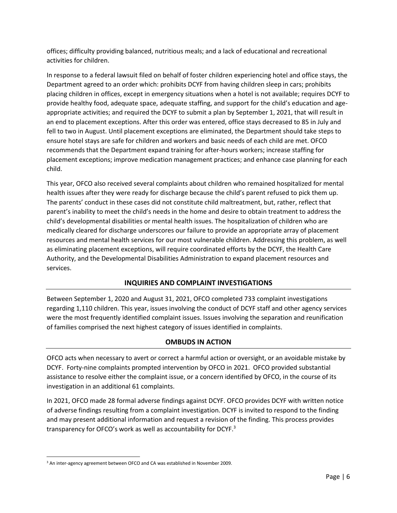offices; difficulty providing balanced, nutritious meals; and a lack of educational and recreational activities for children.

In response to a federal lawsuit filed on behalf of foster children experiencing hotel and office stays, the Department agreed to an order which: prohibits DCYF from having children sleep in cars; prohibits placing children in offices, except in emergency situations when a hotel is not available; requires DCYF to provide healthy food, adequate space, adequate staffing, and support for the child's education and ageappropriate activities; and required the DCYF to submit a plan by September 1, 2021, that will result in an end to placement exceptions. After this order was entered, office stays decreased to 85 in July and fell to two in August. Until placement exceptions are eliminated, the Department should take steps to ensure hotel stays are safe for children and workers and basic needs of each child are met. OFCO recommends that the Department expand training for after-hours workers; increase staffing for placement exceptions; improve medication management practices; and enhance case planning for each child.

This year, OFCO also received several complaints about children who remained hospitalized for mental health issues after they were ready for discharge because the child's parent refused to pick them up. The parents' conduct in these cases did not constitute child maltreatment, but, rather, reflect that parent's inability to meet the child's needs in the home and desire to obtain treatment to address the child's developmental disabilities or mental health issues. The hospitalization of children who are medically cleared for discharge underscores our failure to provide an appropriate array of placement resources and mental health services for our most vulnerable children. Addressing this problem, as well as eliminating placement exceptions, will require coordinated efforts by the DCYF, the Health Care Authority, and the Developmental Disabilities Administration to expand placement resources and services.

## **INQUIRIES AND COMPLAINT INVESTIGATIONS**

Between September 1, 2020 and August 31, 2021, OFCO completed 733 complaint investigations regarding 1,110 children. This year, issues involving the conduct of DCYF staff and other agency services were the most frequently identified complaint issues. Issues involving the separation and reunification of families comprised the next highest category of issues identified in complaints.

## **OMBUDS IN ACTION**

OFCO acts when necessary to avert or correct a harmful action or oversight, or an avoidable mistake by DCYF. Forty-nine complaints prompted intervention by OFCO in 2021. OFCO provided substantial assistance to resolve either the complaint issue, or a concern identified by OFCO, in the course of its investigation in an additional 61 complaints.

In 2021, OFCO made 28 formal adverse findings against DCYF. OFCO provides DCYF with written notice of adverse findings resulting from a complaint investigation. DCYF is invited to respond to the finding and may present additional information and request a revision of the finding. This process provides transparency for OFCO's work as well as accountability for DCYF. $^3$ 

<sup>&</sup>lt;sup>3</sup> An inter-agency agreement between OFCO and CA was established in November 2009.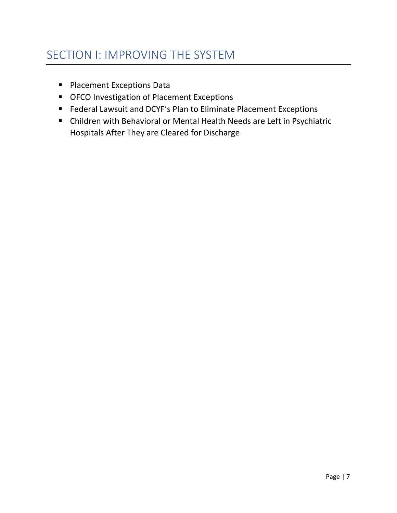- <span id="page-6-0"></span>■ Placement Exceptions Data
- OFCO Investigation of Placement Exceptions
- Federal Lawsuit and DCYF's Plan to Eliminate Placement Exceptions
- Children with Behavioral or Mental Health Needs are Left in Psychiatric Hospitals After They are Cleared for Discharge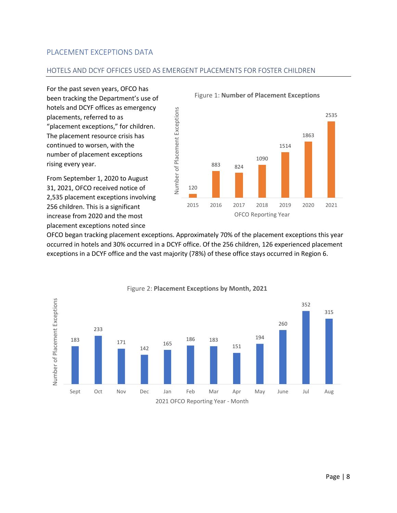## <span id="page-7-0"></span>PLACEMENT EXCEPTIONS DATA

#### HOTELS AND DCYF OFFICES USED AS EMERGENT PLACEMENTS FOR FOSTER CHILDREN

For the past seven years, OFCO has been tracking the Department's use of hotels and DCYF offices as emergency placements, referred to as "placement exceptions," for children. The placement resource crisis has continued to worsen, with the number of placement exceptions rising every year.

From September 1, 2020 to August 31, 2021, OFCO received notice of 2,535 placement exceptions involving 256 children. This is a significant increase from 2020 and the most placement exceptions noted since



Figure 1: **Number of Placement Exceptions**

OFCO began tracking placement exceptions. Approximately 70% of the placement exceptions this year occurred in hotels and 30% occurred in a DCYF office. Of the 256 children, 126 experienced placement exceptions in a DCYF office and the vast majority (78%) of these office stays occurred in Region 6.



Figure 2: **Placement Exceptions by Month, 2021**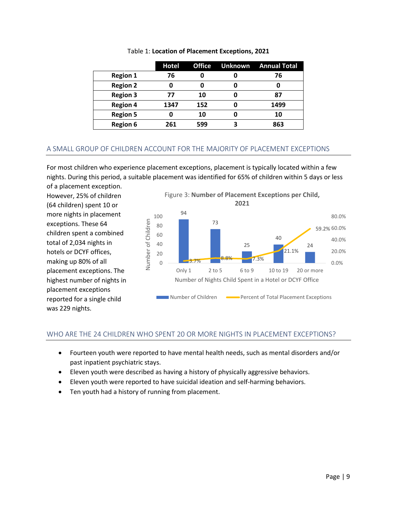|                 | <b>Hotel</b> |     | <b>Office Unknown Annual Total</b> |
|-----------------|--------------|-----|------------------------------------|
| <b>Region 1</b> | 76           |     | 76                                 |
| <b>Region 2</b> |              |     |                                    |
| <b>Region 3</b> | 77           | 10  | 87                                 |
| <b>Region 4</b> | 1347         | 152 | 1499                               |
| <b>Region 5</b> |              | 10  | 10                                 |
| <b>Region 6</b> | 261          | 599 | 863                                |

#### Table 1: **Location of Placement Exceptions, 2021**

## A SMALL GROUP OF CHILDREN ACCOUNT FOR THE MAJORITY OF PLACEMENT EXCEPTIONS

For most children who experience placement exceptions, placement is typically located within a few nights. During this period, a suitable placement was identified for 65% of children within 5 days or less of a placement exception.

However, 25% of children (64 children) spent 10 or more nights in placement exceptions. These 64 children spent a combined total of 2,034 nights in hotels or DCYF offices, making up 80% of all placement exceptions. The highest number of nights in placement exceptions reported for a single child was 229 nights.



## WHO ARE THE 24 CHILDREN WHO SPENT 20 OR MORE NIGHTS IN PLACEMENT EXCEPTIONS?

- Fourteen youth were reported to have mental health needs, such as mental disorders and/or past inpatient psychiatric stays.
- Eleven youth were described as having a history of physically aggressive behaviors.
- Eleven youth were reported to have suicidal ideation and self-harming behaviors.
- Ten youth had a history of running from placement.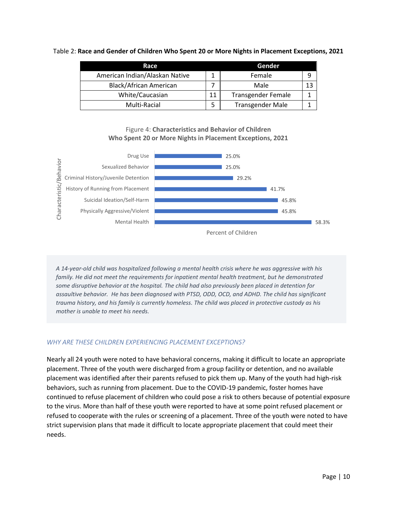#### Table 2: **Race and Gender of Children Who Spent 20 or More Nights in Placement Exceptions, 2021**

| Race                           |    | Gender                    |    |
|--------------------------------|----|---------------------------|----|
| American Indian/Alaskan Native |    | Female                    | 9  |
| <b>Black/African American</b>  |    | Male                      | 13 |
| White/Caucasian                | 11 | <b>Transgender Female</b> |    |
| Multi-Racial                   |    | <b>Transgender Male</b>   |    |

#### Figure 4: **Characteristics and Behavior of Children Who Spent 20 or More Nights in Placement Exceptions, 2021**



*A 14-year-old child was hospitalized following a mental health crisis where he was aggressive with his family. He did not meet the requirements for inpatient mental health treatment, but he demonstrated some disruptive behavior at the hospital. The child had also previously been placed in detention for assaultive behavior. He has been diagnosed with PTSD, ODD, OCD, and ADHD. The child has significant trauma history, and his family is currently homeless. The child was placed in protective custody as his mother is unable to meet his needs.* 

## *WHY ARE THESE CHILDREN EXPERIENCING PLACEMENT EXCEPTIONS?*

Nearly all 24 youth were noted to have behavioral concerns, making it difficult to locate an appropriate placement. Three of the youth were discharged from a group facility or detention, and no available placement was identified after their parents refused to pick them up. Many of the youth had high-risk behaviors, such as running from placement. Due to the COVID-19 pandemic, foster homes have continued to refuse placement of children who could pose a risk to others because of potential exposure to the virus. More than half of these youth were reported to have at some point refused placement or refused to cooperate with the rules or screening of a placement. Three of the youth were noted to have strict supervision plans that made it difficult to locate appropriate placement that could meet their needs.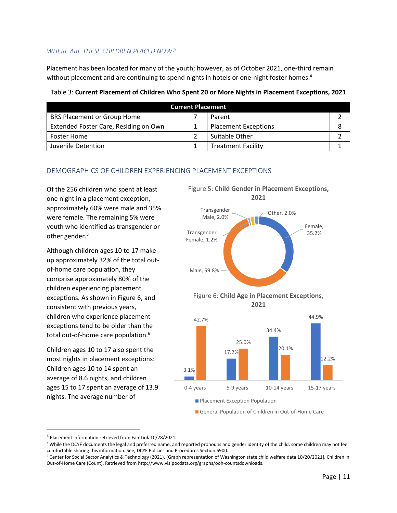#### *WHERE ARE THESE CHILDREN PLACED NOW?*

Placement has been located for many of the youth; however, as of October 2021, one-third remain without placement and are continuing to spend nights in hotels or one-night foster homes.<sup>4</sup>

| <b>Current Placement</b>              |  |                             |  |
|---------------------------------------|--|-----------------------------|--|
| <b>BRS Placement or Group Home</b>    |  | Parent                      |  |
| Extended Foster Care, Residing on Own |  | <b>Placement Exceptions</b> |  |
| <b>Foster Home</b>                    |  | Suitable Other              |  |
| Juvenile Detention                    |  | <b>Treatment Facility</b>   |  |

Male, 59.8%

#### Table 3: **Current Placement of Children Who Spent 20 or More Nights in Placement Exceptions, 2021**

## DEMOGRAPHICS OF CHILDREN EXPERIENCING PLACEMENT EXCEPTIONS

Of the 256 children who spent at least one night in a placement exception, approximately 60% were male and 35% were female. The remaining 5% were youth who identified as transgender or other gender.<sup>5</sup>

Although children ages 10 to 17 make up approximately 32% of the total outof-home care population, they comprise approximately 80% of the children experiencing placement exceptions. As shown in Figure 6, and consistent with previous years, children who experience placement exceptions tend to be older than the total out-of-home care population. 6

Children ages 10 to 17 also spent the most nights in placement exceptions: Children ages 10 to 14 spent an average of 8.6 nights, and children ages 15 to 17 spent an average of 13.9 nights. The average number of





General Population of Children in Out-of-Home Care

<sup>4</sup> Placement information retrieved from FamLink 10/28/2021.

<sup>&</sup>lt;sup>5</sup> While the DCYF documents the legal and preferred name, and reported pronouns and gender identity of the child, some children may not feel comfortable sharing this information. See, DCYF Policies and Procedures Section 6900.

<sup>6</sup> Center for Social Sector Analytics & Technology (2021). [Graph representation of Washington state child welfare data 10/20/2021]. Children in Out-of-Home Care (Count). Retrieved from http://www.vis.pocdata.org/graphs/ooh-countsdownloads.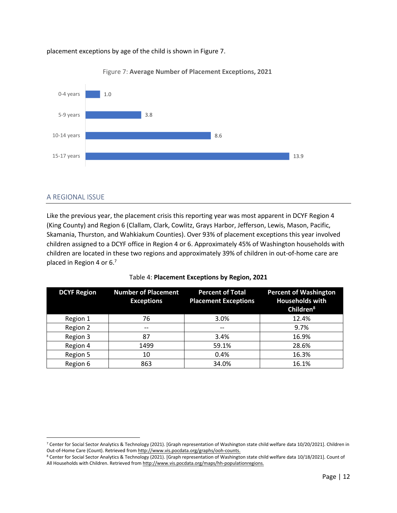#### placement exceptions by age of the child is shown in Figure 7.



Figure 7: **Average Number of Placement Exceptions, 2021**

#### A REGIONAL ISSUE

Like the previous year, the placement crisis this reporting year was most apparent in DCYF Region 4 (King County) and Region 6 (Clallam, Clark, Cowlitz, Grays Harbor, Jefferson, Lewis, Mason, Pacific, Skamania, Thurston, and Wahkiakum Counties). Over 93% of placement exceptions this year involved children assigned to a DCYF office in Region 4 or 6. Approximately 45% of Washington households with children are located in these two regions and approximately 39% of children in out-of-home care are placed in Region 4 or 6.<sup>7</sup>

| <b>DCYF Region</b> | <b>Number of Placement</b><br><b>Exceptions</b> | <b>Percent of Total</b><br><b>Placement Exceptions</b> | <b>Percent of Washington</b><br><b>Households with</b><br>Children <sup>8</sup> |
|--------------------|-------------------------------------------------|--------------------------------------------------------|---------------------------------------------------------------------------------|
| Region 1           | 76                                              | 3.0%                                                   | 12.4%                                                                           |
| Region 2           | --                                              | --                                                     | 9.7%                                                                            |
| Region 3           | 87                                              | 3.4%                                                   | 16.9%                                                                           |
| Region 4           | 1499                                            | 59.1%                                                  | 28.6%                                                                           |
| Region 5           | 10                                              | 0.4%                                                   | 16.3%                                                                           |
| Region 6           | 863                                             | 34.0%                                                  | 16.1%                                                                           |

|  | Table 4: Placement Exceptions by Region, 2021 |  |  |  |  |
|--|-----------------------------------------------|--|--|--|--|
|--|-----------------------------------------------|--|--|--|--|

<sup>7</sup> Center for Social Sector Analytics & Technology (2021). [Graph representation of Washington state child welfare data 10/20/2021]. Children in Out-of-Home Care (Count). Retrieved from http://www.vis.pocdata.org/graphs/ooh-counts.

<sup>8</sup> Center for Social Sector Analytics & Technology (2021). [Graph representation of Washington state child welfare data 10/18/2021]. Count of All Households with Children. Retrieved from http://www.vis.pocdata.org/maps/hh-populationregions.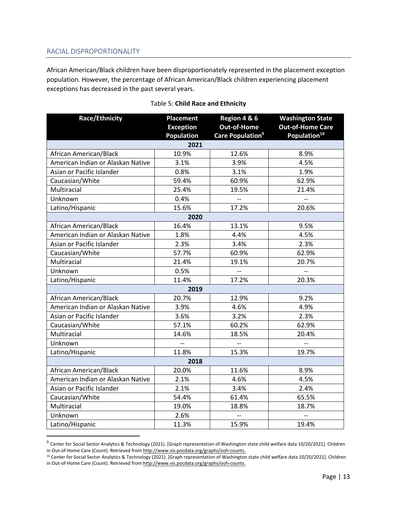## RACIAL DISPROPORTIONALITY

African American/Black children have been disproportionately represented in the placement exception population. However, the percentage of African American/Black children experiencing placement exceptions has decreased in the past several years.

| <b>Race/Ethnicity</b>             | <b>Placement</b>         | Region 4 & 6                 | <b>Washington State</b>  |
|-----------------------------------|--------------------------|------------------------------|--------------------------|
|                                   | <b>Exception</b>         | <b>Out-of-Home</b>           | <b>Out-of-Home Care</b>  |
|                                   | <b>Population</b>        | Care Population <sup>9</sup> | Population <sup>10</sup> |
|                                   | 2021                     |                              |                          |
| African American/Black            | 10.9%                    | 12.6%                        | 8.9%                     |
| American Indian or Alaskan Native | 3.1%                     | 3.9%                         | 4.5%                     |
| Asian or Pacific Islander         | 0.8%                     | 3.1%                         | 1.9%                     |
| Caucasian/White                   | 59.4%                    | 60.9%                        | 62.9%                    |
| Multiracial                       | 25.4%                    | 19.5%                        | 21.4%                    |
| Unknown                           | 0.4%                     | $\overline{\phantom{a}}$     | $\overline{\phantom{a}}$ |
| Latino/Hispanic                   | 15.6%                    | 17.2%                        | 20.6%                    |
|                                   | 2020                     |                              |                          |
| African American/Black            | 16.4%                    | 13.1%                        | 9.5%                     |
| American Indian or Alaskan Native | 1.8%                     | 4.4%                         | 4.5%                     |
| Asian or Pacific Islander         | 2.3%                     | 3.4%                         | 2.3%                     |
| Caucasian/White                   | 57.7%                    | 60.9%                        | 62.9%                    |
| Multiracial                       | 21.4%                    | 19.1%                        | 20.7%                    |
| Unknown                           | 0.5%                     | $\overline{\phantom{a}}$     | $\overline{\phantom{a}}$ |
| Latino/Hispanic                   | 11.4%                    | 17.2%                        | 20.3%                    |
|                                   | 2019                     |                              |                          |
| African American/Black            | 20.7%                    | 12.9%                        | 9.2%                     |
| American Indian or Alaskan Native | 3.9%                     | 4.6%                         | 4.9%                     |
| Asian or Pacific Islander         | 3.6%                     | 3.2%                         | 2.3%                     |
| Caucasian/White                   | 57.1%                    | 60.2%                        | 62.9%                    |
| Multiracial                       | 14.6%                    | 18.5%                        | 20.4%                    |
| Unknown                           | $\overline{\phantom{a}}$ | $\overline{\phantom{a}}$     | $\overline{\phantom{a}}$ |
| Latino/Hispanic                   | 11.8%                    | 15.3%                        | 19.7%                    |
|                                   | 2018                     |                              |                          |
| African American/Black            | 20.0%                    | 11.6%                        | 8.9%                     |
| American Indian or Alaskan Native | 2.1%                     | 4.6%                         | 4.5%                     |
| Asian or Pacific Islander         | 2.1%                     | 3.4%                         | 2.4%                     |
| Caucasian/White                   | 54.4%                    | 61.4%                        | 65.5%                    |
| Multiracial                       | 19.0%                    | 18.8%                        | 18.7%                    |
| Unknown                           | 2.6%                     | $\overline{\phantom{a}}$     |                          |
| Latino/Hispanic                   | 11.3%                    | 15.9%                        | 19.4%                    |

## Table 5: **Child Race and Ethnicity**

<sup>&</sup>lt;sup>9</sup> Center for Social Sector Analytics & Technology (2021). [Graph representation of Washington state child welfare data 10/20/2021]. Children in Out-of-Home Care (Count). Retrieved from http://www.vis.pocdata.org/graphs/ooh-counts.

<sup>10</sup> Center for Social Sector Analytics & Technology (2021). [Graph representation of Washington state child welfare data 10/20/2021]. Children in Out-of-Home Care (Count). Retrieved from http://www.vis.pocdata.org/graphs/ooh-counts.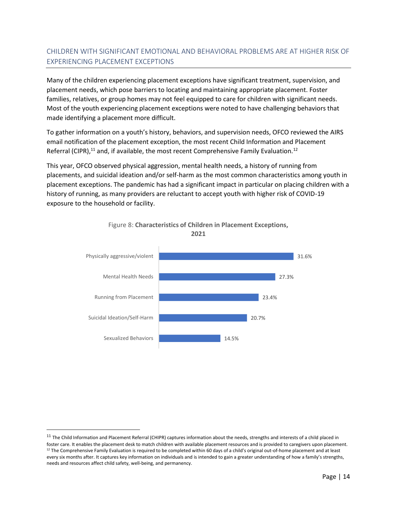# CHILDREN WITH SIGNIFICANT EMOTIONAL AND BEHAVIORAL PROBLEMS ARE AT HIGHER RISK OF EXPERIENCING PLACEMENT EXCEPTIONS

Many of the children experiencing placement exceptions have significant treatment, supervision, and placement needs, which pose barriers to locating and maintaining appropriate placement. Foster families, relatives, or group homes may not feel equipped to care for children with significant needs. Most of the youth experiencing placement exceptions were noted to have challenging behaviors that made identifying a placement more difficult.

To gather information on a youth's history, behaviors, and supervision needs, OFCO reviewed the AIRS email notification of the placement exception, the most recent Child Information and Placement Referral (CIPR),<sup>11</sup> and, if available, the most recent Comprehensive Family Evaluation.<sup>12</sup>

This year, OFCO observed physical aggression, mental health needs, a history of running from placements, and suicidal ideation and/or self-harm as the most common characteristics among youth in placement exceptions. The pandemic has had a significant impact in particular on placing children with a history of running, as many providers are reluctant to accept youth with higher risk of COVID-19 exposure to the household or facility.





<sup>&</sup>lt;sup>11</sup> The Child Information and Placement Referral (CHIPR) captures information about the needs, strengths and interests of a child placed in foster care. It enables the placement desk to match children with available placement resources and is provided to caregivers upon placement. <sup>12</sup> The Comprehensive Family Evaluation is required to be completed within 60 days of a child's original out-of-home placement and at least every six months after. It captures key information on individuals and is intended to gain a greater understanding of how a family's strengths, needs and resources affect child safety, well-being, and permanency.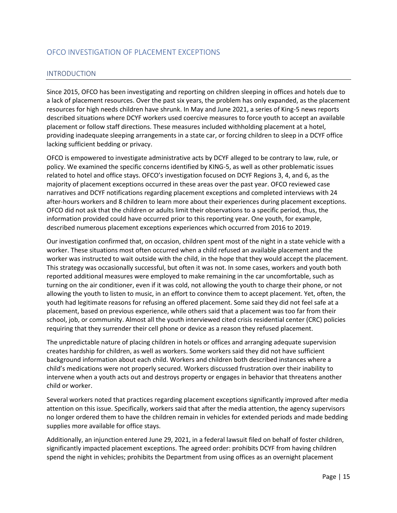# <span id="page-14-0"></span>OFCO INVESTIGATION OF PLACEMENT EXCEPTIONS

#### INTRODUCTION

Since 2015, OFCO has been investigating and reporting on children sleeping in offices and hotels due to a lack of placement resources. Over the past six years, the problem has only expanded, as the placement resources for high needs children have shrunk. In May and June 2021, a series of King-5 news reports described situations where DCYF workers used coercive measures to force youth to accept an available placement or follow staff directions. These measures included withholding placement at a hotel, providing inadequate sleeping arrangements in a state car, or forcing children to sleep in a DCYF office lacking sufficient bedding or privacy.

OFCO is empowered to investigate administrative acts by DCYF alleged to be contrary to law, rule, or policy. We examined the specific concerns identified by KING-5, as well as other problematic issues related to hotel and office stays. OFCO's investigation focused on DCYF Regions 3, 4, and 6, as the majority of placement exceptions occurred in these areas over the past year. OFCO reviewed case narratives and DCYF notifications regarding placement exceptions and completed interviews with 24 after-hours workers and 8 children to learn more about their experiences during placement exceptions. OFCO did not ask that the children or adults limit their observations to a specific period, thus, the information provided could have occurred prior to this reporting year. One youth, for example, described numerous placement exceptions experiences which occurred from 2016 to 2019.

Our investigation confirmed that, on occasion, children spent most of the night in a state vehicle with a worker. These situations most often occurred when a child refused an available placement and the worker was instructed to wait outside with the child, in the hope that they would accept the placement. This strategy was occasionally successful, but often it was not. In some cases, workers and youth both reported additional measures were employed to make remaining in the car uncomfortable, such as turning on the air conditioner, even if it was cold, not allowing the youth to charge their phone, or not allowing the youth to listen to music, in an effort to convince them to accept placement. Yet, often, the youth had legitimate reasons for refusing an offered placement. Some said they did not feel safe at a placement, based on previous experience, while others said that a placement was too far from their school, job, or community. Almost all the youth interviewed cited crisis residential center (CRC) policies requiring that they surrender their cell phone or device as a reason they refused placement.

The unpredictable nature of placing children in hotels or offices and arranging adequate supervision creates hardship for children, as well as workers. Some workers said they did not have sufficient background information about each child. Workers and children both described instances where a child's medications were not properly secured. Workers discussed frustration over their inability to intervene when a youth acts out and destroys property or engages in behavior that threatens another child or worker.

Several workers noted that practices regarding placement exceptions significantly improved after media attention on this issue. Specifically, workers said that after the media attention, the agency supervisors no longer ordered them to have the children remain in vehicles for extended periods and made bedding supplies more available for office stays.

Additionally, an injunction entered June 29, 2021, in a federal lawsuit filed on behalf of foster children, significantly impacted placement exceptions. The agreed order: prohibits DCYF from having children spend the night in vehicles; prohibits the Department from using offices as an overnight placement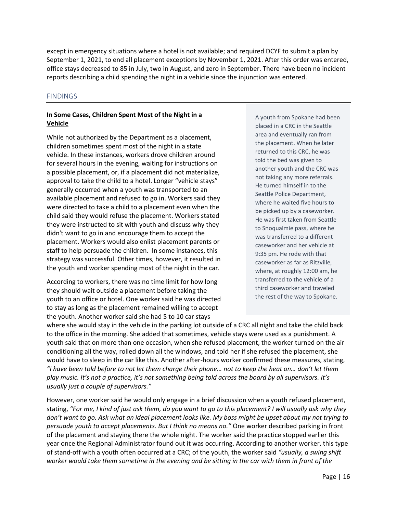except in emergency situations where a hotel is not available; and required DCYF to submit a plan by September 1, 2021, to end all placement exceptions by November 1, 2021. After this order was entered, office stays decreased to 85 in July, two in August, and zero in September. There have been no incident reports describing a child spending the night in a vehicle since the injunction was entered.

#### FINDINGS

#### **In Some Cases, Children Spent Most of the Night in a Vehicle**

While not authorized by the Department as a placement, children sometimes spent most of the night in a state vehicle. In these instances, workers drove children around for several hours in the evening, waiting for instructions on a possible placement, or, if a placement did not materialize, approval to take the child to a hotel. Longer "vehicle stays" generally occurred when a youth was transported to an available placement and refused to go in. Workers said they were directed to take a child to a placement even when the child said they would refuse the placement. Workers stated they were instructed to sit with youth and discuss why they didn't want to go in and encourage them to accept the placement. Workers would also enlist placement parents or staff to help persuade the children. In some instances, this strategy was successful. Other times, however, it resulted in the youth and worker spending most of the night in the car.

According to workers, there was no time limit for how long they should wait outside a placement before taking the youth to an office or hotel. One worker said he was directed to stay as long as the placement remained willing to accept the youth. Another worker said she had 5 to 10 car stays

A youth from Spokane had been placed in a CRC in the Seattle area and eventually ran from the placement. When he later returned to this CRC, he was told the bed was given to another youth and the CRC was not taking any more referrals. He turned himself in to the Seattle Police Department, where he waited five hours to be picked up by a caseworker. He was first taken from Seattle to Snoqualmie pass, where he was transferred to a different caseworker and her vehicle at 9:35 pm. He rode with that caseworker as far as Ritzville, where, at roughly 12:00 am, he transferred to the vehicle of a third caseworker and traveled the rest of the way to Spokane.

where she would stay in the vehicle in the parking lot outside of a CRC all night and take the child back to the office in the morning. She added that sometimes, vehicle stays were used as a punishment. A youth said that on more than one occasion, when she refused placement, the worker turned on the air conditioning all the way, rolled down all the windows, and told her if she refused the placement, she would have to sleep in the car like this. Another after-hours worker confirmed these measures, stating, *"I have been told before to not let them charge their phone… not to keep the heat on… don't let them play music. It's not a practice, it's not something being told across the board by all supervisors. It's usually just a couple of supervisors."*

However, one worker said he would only engage in a brief discussion when a youth refused placement, stating, *"For me, I kind of just ask them, do you want to go to this placement? I will usually ask why they don't want to go. Ask what an ideal placement looks like. My boss might be upset about my not trying to persuade youth to accept placements. But I think no means no."* One worker described parking in front of the placement and staying there the whole night. The worker said the practice stopped earlier this year once the Regional Administrator found out it was occurring. According to another worker, this type of stand-off with a youth often occurred at a CRC; of the youth, the worker said *"usually, a swing shift worker would take them sometime in the evening and be sitting in the car with them in front of the*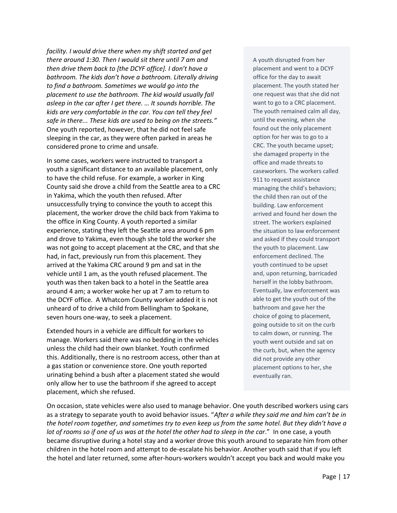*facility. I would drive there when my shift started and get there around 1:30. Then I would sit there until 7 am and then drive them back to [the DCYF office]. I don't have a bathroom. The kids don't have a bathroom. Literally driving to find a bathroom. Sometimes we would go into the placement to use the bathroom. The kid would usually fall asleep in the car after I get there. … It sounds horrible. The kids are very comfortable in the car. You can tell they feel safe in there... These kids are used to being on the streets."* One youth reported, however, that he did not feel safe sleeping in the car, as they were often parked in areas he considered prone to crime and unsafe.

In some cases, workers were instructed to transport a youth a significant distance to an available placement, only to have the child refuse. For example, a worker in King County said she drove a child from the Seattle area to a CRC in Yakima, which the youth then refused. After unsuccessfully trying to convince the youth to accept this placement, the worker drove the child back from Yakima to the office in King County. A youth reported a similar experience, stating they left the Seattle area around 6 pm and drove to Yakima, even though she told the worker she was not going to accept placement at the CRC, and that she had, in fact, previously run from this placement. They arrived at the Yakima CRC around 9 pm and sat in the vehicle until 1 am, as the youth refused placement. The youth was then taken back to a hotel in the Seattle area around 4 am; a worker woke her up at 7 am to return to the DCYF office. A Whatcom County worker added it is not unheard of to drive a child from Bellingham to Spokane, seven hours one-way, to seek a placement.

Extended hours in a vehicle are difficult for workers to manage. Workers said there was no bedding in the vehicles unless the child had their own blanket. Youth confirmed this. Additionally, there is no restroom access, other than at a gas station or convenience store. One youth reported urinating behind a bush after a placement stated she would only allow her to use the bathroom if she agreed to accept placement, which she refused.

A youth disrupted from her placement and went to a DCYF office for the day to await placement. The youth stated her one request was that she did not want to go to a CRC placement. The youth remained calm all day, until the evening, when she found out the only placement option for her was to go to a CRC. The youth became upset; she damaged property in the office and made threats to caseworkers. The workers called 911 to request assistance managing the child's behaviors; the child then ran out of the building. Law enforcement arrived and found her down the street. The workers explained the situation to law enforcement and asked if they could transport the youth to placement. Law enforcement declined. The youth continued to be upset and, upon returning, barricaded herself in the lobby bathroom. Eventually, law enforcement was able to get the youth out of the bathroom and gave her the choice of going to placement, going outside to sit on the curb to calm down, or running. The youth went outside and sat on the curb, but, when the agency did not provide any other placement options to her, she eventually ran.

On occasion, state vehicles were also used to manage behavior. One youth described workers using cars as a strategy to separate youth to avoid behavior issues. "*After a while they said me and him can't be in the hotel room together, and sometimes try to even keep us from the same hotel. But they didn't have a lot of rooms so if one of us was at the hotel the other had to sleep in the car*." In one case, a youth became disruptive during a hotel stay and a worker drove this youth around to separate him from other children in the hotel room and attempt to de-escalate his behavior. Another youth said that if you left the hotel and later returned, some after-hours-workers wouldn't accept you back and would make you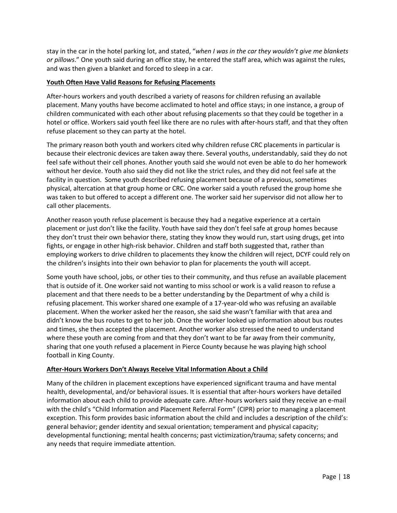stay in the car in the hotel parking lot, and stated, "*when I was in the car they wouldn't give me blankets or pillows*." One youth said during an office stay, he entered the staff area, which was against the rules, and was then given a blanket and forced to sleep in a car.

#### **Youth Often Have Valid Reasons for Refusing Placements**

After-hours workers and youth described a variety of reasons for children refusing an available placement. Many youths have become acclimated to hotel and office stays; in one instance, a group of children communicated with each other about refusing placements so that they could be together in a hotel or office. Workers said youth feel like there are no rules with after-hours staff, and that they often refuse placement so they can party at the hotel.

The primary reason both youth and workers cited why children refuse CRC placements in particular is because their electronic devices are taken away there. Several youths, understandably, said they do not feel safe without their cell phones. Another youth said she would not even be able to do her homework without her device. Youth also said they did not like the strict rules, and they did not feel safe at the facility in question. Some youth described refusing placement because of a previous, sometimes physical, altercation at that group home or CRC. One worker said a youth refused the group home she was taken to but offered to accept a different one. The worker said her supervisor did not allow her to call other placements.

Another reason youth refuse placement is because they had a negative experience at a certain placement or just don't like the facility. Youth have said they don't feel safe at group homes because they don't trust their own behavior there, stating they know they would run, start using drugs, get into fights, or engage in other high-risk behavior. Children and staff both suggested that, rather than employing workers to drive children to placements they know the children will reject, DCYF could rely on the children's insights into their own behavior to plan for placements the youth will accept.

Some youth have school, jobs, or other ties to their community, and thus refuse an available placement that is outside of it. One worker said not wanting to miss school or work is a valid reason to refuse a placement and that there needs to be a better understanding by the Department of why a child is refusing placement. This worker shared one example of a 17-year-old who was refusing an available placement. When the worker asked her the reason, she said she wasn't familiar with that area and didn't know the bus routes to get to her job. Once the worker looked up information about bus routes and times, she then accepted the placement. Another worker also stressed the need to understand where these youth are coming from and that they don't want to be far away from their community, sharing that one youth refused a placement in Pierce County because he was playing high school football in King County.

#### **After-Hours Workers Don't Always Receive Vital Information About a Child**

Many of the children in placement exceptions have experienced significant trauma and have mental health, developmental, and/or behavioral issues. It is essential that after-hours workers have detailed information about each child to provide adequate care. After-hours workers said they receive an e-mail with the child's "Child Information and Placement Referral Form" (CIPR) prior to managing a placement exception. This form provides basic information about the child and includes a description of the child's: general behavior; gender identity and sexual orientation; temperament and physical capacity; developmental functioning; mental health concerns; past victimization/trauma; safety concerns; and any needs that require immediate attention.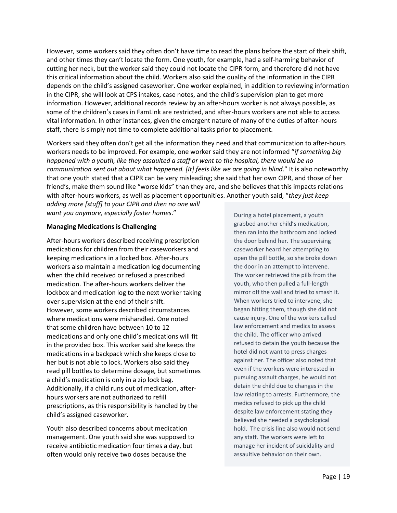However, some workers said they often don't have time to read the plans before the start of their shift, and other times they can't locate the form. One youth, for example, had a self-harming behavior of cutting her neck, but the worker said they could not locate the CIPR form, and therefore did not have this critical information about the child. Workers also said the quality of the information in the CIPR depends on the child's assigned caseworker. One worker explained, in addition to reviewing information in the CIPR, she will look at CPS intakes, case notes, and the child's supervision plan to get more information. However, additional records review by an after-hours worker is not always possible, as some of the children's cases in FamLink are restricted, and after-hours workers are not able to access vital information. In other instances, given the emergent nature of many of the duties of after-hours staff, there is simply not time to complete additional tasks prior to placement.

Workers said they often don't get all the information they need and that communication to after-hours workers needs to be improved. For example, one worker said they are not informed "*if something big happened with a youth, like they assaulted a staff or went to the hospital, there would be no communication sent out about what happened. [It] feels like we are going in blind*." It is also noteworthy that one youth stated that a CIPR can be very misleading; she said that her own CIPR, and those of her friend's, make them sound like "worse kids" than they are, and she believes that this impacts relations with after-hours workers, as well as placement opportunities. Another youth said, "*they just keep adding more [stuff] to your CIPR and then no one will* 

*want you anymore, especially foster homes*."

#### **Managing Medications is Challenging**

After-hours workers described receiving prescription medications for children from their caseworkers and keeping medications in a locked box. After-hours workers also maintain a medication log documenting when the child received or refused a prescribed medication. The after-hours workers deliver the lockbox and medication log to the next worker taking over supervision at the end of their shift. However, some workers described circumstances where medications were mishandled. One noted that some children have between 10 to 12 medications and only one child's medications will fit in the provided box. This worker said she keeps the medications in a backpack which she keeps close to her but is not able to lock. Workers also said they read pill bottles to determine dosage, but sometimes a child's medication is only in a zip lock bag. Additionally, if a child runs out of medication, afterhours workers are not authorized to refill prescriptions, as this responsibility is handled by the child's assigned caseworker.

Youth also described concerns about medication management. One youth said she was supposed to receive antibiotic medication four times a day, but often would only receive two doses because the

During a hotel placement, a youth grabbed another child's medication, then ran into the bathroom and locked the door behind her. The supervising caseworker heard her attempting to open the pill bottle, so she broke down the door in an attempt to intervene. The worker retrieved the pills from the youth, who then pulled a full-length mirror off the wall and tried to smash it. When workers tried to intervene, she began hitting them, though she did not cause injury. One of the workers called law enforcement and medics to assess the child. The officer who arrived refused to detain the youth because the hotel did not want to press charges against her. The officer also noted that even if the workers were interested in pursuing assault charges, he would not detain the child due to changes in the law relating to arrests. Furthermore, the medics refused to pick up the child despite law enforcement stating they believed she needed a psychological hold. The crisis line also would not send any staff. The workers were left to manage her incident of suicidality and assaultive behavior on their own.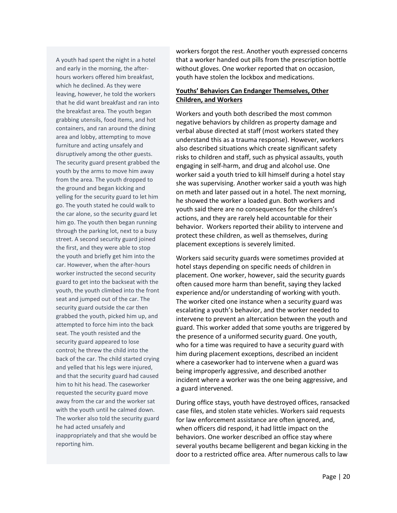A youth had spent the night in a hotel and early in the morning, the afterhours workers offered him breakfast, which he declined. As they were leaving, however, he told the workers that he did want breakfast and ran into the breakfast area. The youth began grabbing utensils, food items, and hot containers, and ran around the dining area and lobby, attempting to move furniture and acting unsafely and disruptively among the other guests. The security guard present grabbed the youth by the arms to move him away from the area. The youth dropped to the ground and began kicking and yelling for the security guard to let him go. The youth stated he could walk to the car alone, so the security guard let him go. The youth then began running through the parking lot, next to a busy street. A second security guard joined the first, and they were able to stop the youth and briefly get him into the car. However, when the after-hours worker instructed the second security guard to get into the backseat with the youth, the youth climbed into the front seat and jumped out of the car. The security guard outside the car then grabbed the youth, picked him up, and attempted to force him into the back seat. The youth resisted and the security guard appeared to lose control; he threw the child into the back of the car. The child started crying and yelled that his legs were injured, and that the security guard had caused him to hit his head. The caseworker requested the security guard move away from the car and the worker sat with the youth until he calmed down. The worker also told the security guard he had acted unsafely and inappropriately and that she would be reporting him.

workers forgot the rest. Another youth expressed concerns that a worker handed out pills from the prescription bottle without gloves. One worker reported that on occasion, youth have stolen the lockbox and medications.

#### **Youths' Behaviors Can Endanger Themselves, Other Children, and Workers**

Workers and youth both described the most common negative behaviors by children as property damage and verbal abuse directed at staff (most workers stated they understand this as a trauma response). However, workers also described situations which create significant safety risks to children and staff, such as physical assaults, youth engaging in self-harm, and drug and alcohol use. One worker said a youth tried to kill himself during a hotel stay she was supervising. Another worker said a youth was high on meth and later passed out in a hotel. The next morning, he showed the worker a loaded gun. Both workers and youth said there are no consequences for the children's actions, and they are rarely held accountable for their behavior. Workers reported their ability to intervene and protect these children, as well as themselves, during placement exceptions is severely limited.

Workers said security guards were sometimes provided at hotel stays depending on specific needs of children in placement. One worker, however, said the security guards often caused more harm than benefit, saying they lacked experience and/or understanding of working with youth. The worker cited one instance when a security guard was escalating a youth's behavior, and the worker needed to intervene to prevent an altercation between the youth and guard. This worker added that some youths are triggered by the presence of a uniformed security guard. One youth, who for a time was required to have a security guard with him during placement exceptions, described an incident where a caseworker had to intervene when a guard was being improperly aggressive, and described another incident where a worker was the one being aggressive, and a guard intervened.

During office stays, youth have destroyed offices, ransacked case files, and stolen state vehicles. Workers said requests for law enforcement assistance are often ignored, and, when officers did respond, it had little impact on the behaviors. One worker described an office stay where several youths became belligerent and began kicking in the door to a restricted office area. After numerous calls to law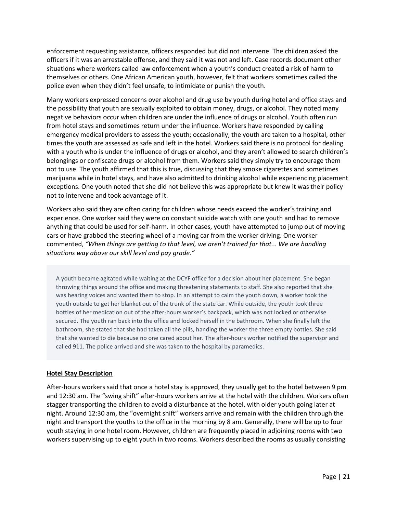enforcement requesting assistance, officers responded but did not intervene. The children asked the officers if it was an arrestable offense, and they said it was not and left. Case records document other situations where workers called law enforcement when a youth's conduct created a risk of harm to themselves or others. One African American youth, however, felt that workers sometimes called the police even when they didn't feel unsafe, to intimidate or punish the youth.

Many workers expressed concerns over alcohol and drug use by youth during hotel and office stays and the possibility that youth are sexually exploited to obtain money, drugs, or alcohol. They noted many negative behaviors occur when children are under the influence of drugs or alcohol. Youth often run from hotel stays and sometimes return under the influence. Workers have responded by calling emergency medical providers to assess the youth; occasionally, the youth are taken to a hospital, other times the youth are assessed as safe and left in the hotel. Workers said there is no protocol for dealing with a youth who is under the influence of drugs or alcohol, and they aren't allowed to search children's belongings or confiscate drugs or alcohol from them. Workers said they simply try to encourage them not to use. The youth affirmed that this is true, discussing that they smoke cigarettes and sometimes marijuana while in hotel stays, and have also admitted to drinking alcohol while experiencing placement exceptions. One youth noted that she did not believe this was appropriate but knew it was their policy not to intervene and took advantage of it.

Workers also said they are often caring for children whose needs exceed the worker's training and experience. One worker said they were on constant suicide watch with one youth and had to remove anything that could be used for self-harm. In other cases, youth have attempted to jump out of moving cars or have grabbed the steering wheel of a moving car from the worker driving. One worker commented, *"When things are getting to that level, we aren't trained for that... We are handling situations way above our skill level and pay grade."*

A youth became agitated while waiting at the DCYF office for a decision about her placement. She began throwing things around the office and making threatening statements to staff. She also reported that she was hearing voices and wanted them to stop. In an attempt to calm the youth down, a worker took the youth outside to get her blanket out of the trunk of the state car. While outside, the youth took three bottles of her medication out of the after-hours worker's backpack, which was not locked or otherwise secured. The youth ran back into the office and locked herself in the bathroom. When she finally left the bathroom, she stated that she had taken all the pills, handing the worker the three empty bottles. She said that she wanted to die because no one cared about her. The after-hours worker notified the supervisor and called 911. The police arrived and she was taken to the hospital by paramedics.

#### **Hotel Stay Description**

After-hours workers said that once a hotel stay is approved, they usually get to the hotel between 9 pm and 12:30 am. The "swing shift" after-hours workers arrive at the hotel with the children. Workers often stagger transporting the children to avoid a disturbance at the hotel, with older youth going later at night. Around 12:30 am, the "overnight shift" workers arrive and remain with the children through the night and transport the youths to the office in the morning by 8 am. Generally, there will be up to four youth staying in one hotel room. However, children are frequently placed in adjoining rooms with two workers supervising up to eight youth in two rooms. Workers described the rooms as usually consisting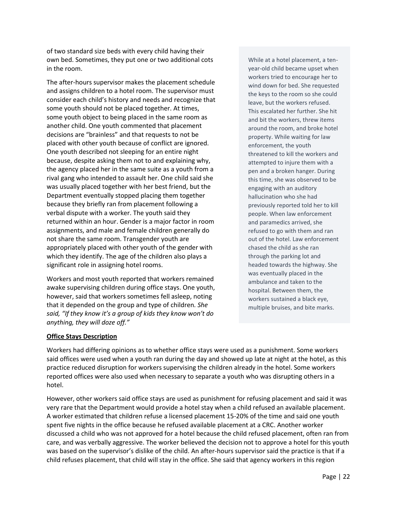of two standard size beds with every child having their own bed. Sometimes, they put one or two additional cots in the room.

The after-hours supervisor makes the placement schedule and assigns children to a hotel room. The supervisor must consider each child's history and needs and recognize that some youth should not be placed together. At times, some youth object to being placed in the same room as another child. One youth commented that placement decisions are "brainless" and that requests to not be placed with other youth because of conflict are ignored. One youth described not sleeping for an entire night because, despite asking them not to and explaining why, the agency placed her in the same suite as a youth from a rival gang who intended to assault her. One child said she was usually placed together with her best friend, but the Department eventually stopped placing them together because they briefly ran from placement following a verbal dispute with a worker. The youth said they returned within an hour. Gender is a major factor in room assignments, and male and female children generally do not share the same room. Transgender youth are appropriately placed with other youth of the gender with which they identify. The age of the children also plays a significant role in assigning hotel rooms.

Workers and most youth reported that workers remained awake supervising children during office stays. One youth, however, said that workers sometimes fell asleep, noting that it depended on the group and type of children*. She said, "If they know it's a group of kids they know won't do anything, they will doze off."*

While at a hotel placement, a tenyear-old child became upset when workers tried to encourage her to wind down for bed. She requested the keys to the room so she could leave, but the workers refused. This escalated her further. She hit and bit the workers, threw items around the room, and broke hotel property. While waiting for law enforcement, the youth threatened to kill the workers and attempted to injure them with a pen and a broken hanger. During this time, she was observed to be engaging with an auditory hallucination who she had previously reported told her to kill people. When law enforcement and paramedics arrived, she refused to go with them and ran out of the hotel. Law enforcement chased the child as she ran through the parking lot and headed towards the highway. She was eventually placed in the ambulance and taken to the hospital. Between them, the workers sustained a black eye, multiple bruises, and bite marks.

#### **Office Stays Description**

Workers had differing opinions as to whether office stays were used as a punishment. Some workers said offices were used when a youth ran during the day and showed up late at night at the hotel, as this practice reduced disruption for workers supervising the children already in the hotel. Some workers reported offices were also used when necessary to separate a youth who was disrupting others in a hotel.

However, other workers said office stays are used as punishment for refusing placement and said it was very rare that the Department would provide a hotel stay when a child refused an available placement. A worker estimated that children refuse a licensed placement 15-20% of the time and said one youth spent five nights in the office because he refused available placement at a CRC. Another worker discussed a child who was not approved for a hotel because the child refused placement, often ran from care, and was verbally aggressive. The worker believed the decision not to approve a hotel for this youth was based on the supervisor's dislike of the child. An after-hours supervisor said the practice is that if a child refuses placement, that child will stay in the office. She said that agency workers in this region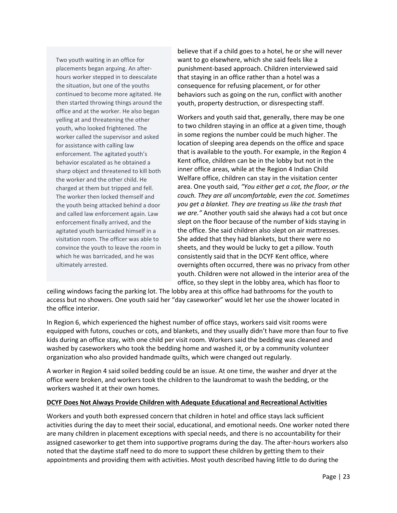Two youth waiting in an office for placements began arguing. An afterhours worker stepped in to deescalate the situation, but one of the youths continued to become more agitated. He then started throwing things around the office and at the worker. He also began yelling at and threatening the other youth, who looked frightened. The worker called the supervisor and asked for assistance with calling law enforcement. The agitated youth's behavior escalated as he obtained a sharp object and threatened to kill both the worker and the other child. He charged at them but tripped and fell. The worker then locked themself and the youth being attacked behind a door and called law enforcement again. Law enforcement finally arrived, and the agitated youth barricaded himself in a visitation room. The officer was able to convince the youth to leave the room in which he was barricaded, and he was ultimately arrested.

believe that if a child goes to a hotel, he or she will never want to go elsewhere, which she said feels like a punishment-based approach. Children interviewed said that staying in an office rather than a hotel was a consequence for refusing placement, or for other behaviors such as going on the run, conflict with another youth, property destruction, or disrespecting staff.

Workers and youth said that, generally, there may be one to two children staying in an office at a given time, though in some regions the number could be much higher. The location of sleeping area depends on the office and space that is available to the youth. For example, in the Region 4 Kent office, children can be in the lobby but not in the inner office areas, while at the Region 4 Indian Child Welfare office, children can stay in the visitation center area. One youth said, *"You either get a cot, the floor, or the couch. They are all uncomfortable, even the cot. Sometimes you get a blanket. They are treating us like the trash that we are."* Another youth said she always had a cot but once slept on the floor because of the number of kids staying in the office. She said children also slept on air mattresses. She added that they had blankets, but there were no sheets, and they would be lucky to get a pillow. Youth consistently said that in the DCYF Kent office, where overnights often occurred, there was no privacy from other youth. Children were not allowed in the interior area of the office, so they slept in the lobby area, which has floor to

ceiling windows facing the parking lot. The lobby area at this office had bathrooms for the youth to access but no showers. One youth said her "day caseworker" would let her use the shower located in the office interior.

In Region 6, which experienced the highest number of office stays, workers said visit rooms were equipped with futons, couches or cots, and blankets, and they usually didn't have more than four to five kids during an office stay, with one child per visit room. Workers said the bedding was cleaned and washed by caseworkers who took the bedding home and washed it, or by a community volunteer organization who also provided handmade quilts, which were changed out regularly.

A worker in Region 4 said soiled bedding could be an issue. At one time, the washer and dryer at the office were broken, and workers took the children to the laundromat to wash the bedding, or the workers washed it at their own homes.

#### **DCYF Does Not Always Provide Children with Adequate Educational and Recreational Activities**

Workers and youth both expressed concern that children in hotel and office stays lack sufficient activities during the day to meet their social, educational, and emotional needs. One worker noted there are many children in placement exceptions with special needs, and there is no accountability for their assigned caseworker to get them into supportive programs during the day. The after-hours workers also noted that the daytime staff need to do more to support these children by getting them to their appointments and providing them with activities. Most youth described having little to do during the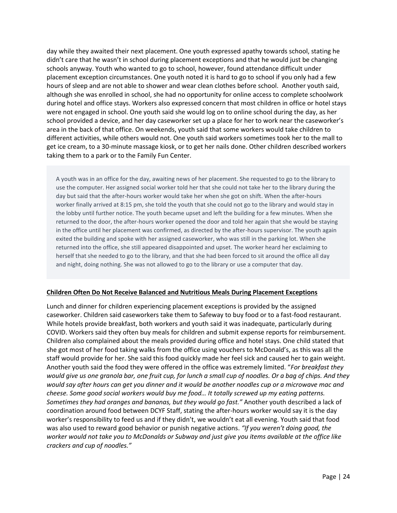day while they awaited their next placement. One youth expressed apathy towards school, stating he didn't care that he wasn't in school during placement exceptions and that he would just be changing schools anyway. Youth who wanted to go to school, however, found attendance difficult under placement exception circumstances. One youth noted it is hard to go to school if you only had a few hours of sleep and are not able to shower and wear clean clothes before school. Another youth said, although she was enrolled in school, she had no opportunity for online access to complete schoolwork during hotel and office stays. Workers also expressed concern that most children in office or hotel stays were not engaged in school. One youth said she would log on to online school during the day, as her school provided a device, and her day caseworker set up a place for her to work near the caseworker's area in the back of that office. On weekends, youth said that some workers would take children to different activities, while others would not. One youth said workers sometimes took her to the mall to get ice cream, to a 30-minute massage kiosk, or to get her nails done. Other children described workers taking them to a park or to the Family Fun Center.

A youth was in an office for the day, awaiting news of her placement. She requested to go to the library to use the computer. Her assigned social worker told her that she could not take her to the library during the day but said that the after-hours worker would take her when she got on shift. When the after-hours worker finally arrived at 8:15 pm, she told the youth that she could not go to the library and would stay in the lobby until further notice. The youth became upset and left the building for a few minutes. When she returned to the door, the after-hours worker opened the door and told her again that she would be staying in the office until her placement was confirmed, as directed by the after-hours supervisor. The youth again exited the building and spoke with her assigned caseworker, who was still in the parking lot. When she returned into the office, she still appeared disappointed and upset. The worker heard her exclaiming to herself that she needed to go to the library, and that she had been forced to sit around the office all day and night, doing nothing. She was not allowed to go to the library or use a computer that day.

#### **Children Often Do Not Receive Balanced and Nutritious Meals During Placement Exceptions**

Lunch and dinner for children experiencing placement exceptions is provided by the assigned caseworker. Children said caseworkers take them to Safeway to buy food or to a fast-food restaurant. While hotels provide breakfast, both workers and youth said it was inadequate, particularly during COVID. Workers said they often buy meals for children and submit expense reports for reimbursement. Children also complained about the meals provided during office and hotel stays. One child stated that she got most of her food taking walks from the office using vouchers to McDonald's, as this was all the staff would provide for her. She said this food quickly made her feel sick and caused her to gain weight. Another youth said the food they were offered in the office was extremely limited. "*For breakfast they would give us one granola bar, one fruit cup, for lunch a small cup of noodles. Or a bag of chips. And they would say after hours can get you dinner and it would be another noodles cup or a microwave mac and cheese. Some good social workers would buy me food… It totally screwed up my eating patterns. Sometimes they had oranges and bananas, but they would go fast."* Another youth described a lack of coordination around food between DCYF Staff, stating the after-hours worker would say it is the day worker's responsibility to feed us and if they didn't, we wouldn't eat all evening. Youth said that food was also used to reward good behavior or punish negative actions. *"If you weren't doing good, the worker would not take you to McDonalds or Subway and just give you items available at the office like crackers and cup of noodles."*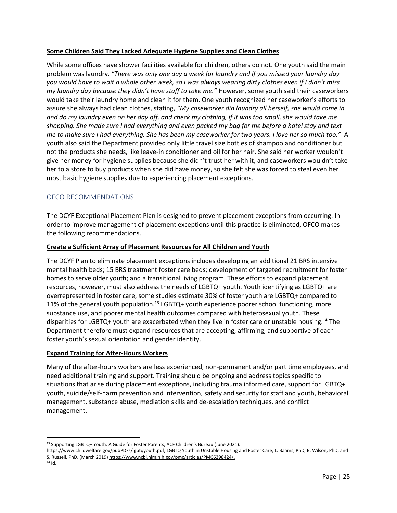#### **Some Children Said They Lacked Adequate Hygiene Supplies and Clean Clothes**

While some offices have shower facilities available for children, others do not. One youth said the main problem was laundry. *"There was only one day a week for laundry and if you missed your laundry day you would have to wait a whole other week, so I was always wearing dirty clothes even if I didn't miss my laundry day because they didn't have staff to take me."* However, some youth said their caseworkers would take their laundry home and clean it for them. One youth recognized her caseworker's efforts to assure she always had clean clothes, stating, *"My caseworker did laundry all herself, she would come in and do my laundry even on her day off, and check my clothing, if it was too small, she would take me shopping. She made sure I had everything and even packed my bag for me before a hotel stay and text me to make sure I had everything. She has been my caseworker for two years. I love her so much too."* A youth also said the Department provided only little travel size bottles of shampoo and conditioner but not the products she needs, like leave-in conditioner and oil for her hair. She said her worker wouldn't give her money for hygiene supplies because she didn't trust her with it, and caseworkers wouldn't take her to a store to buy products when she did have money, so she felt she was forced to steal even her most basic hygiene supplies due to experiencing placement exceptions.

## OFCO RECOMMENDATIONS

The DCYF Exceptional Placement Plan is designed to prevent placement exceptions from occurring. In order to improve management of placement exceptions until this practice is eliminated, OFCO makes the following recommendations.

#### **Create a Sufficient Array of Placement Resources for All Children and Youth**

The DCYF Plan to eliminate placement exceptions includes developing an additional 21 BRS intensive mental health beds; 15 BRS treatment foster care beds; development of targeted recruitment for foster homes to serve older youth; and a transitional living program. These efforts to expand placement resources, however, must also address the needs of LGBTQ+ youth. Youth identifying as LGBTQ+ are overrepresented in foster care, some studies estimate 30% of foster youth are LGBTQ+ compared to 11% of the general youth population.<sup>13</sup> LGBTQ+ youth experience poorer school functioning, more substance use, and poorer mental health outcomes compared with heterosexual youth. These disparities for LGBTQ+ youth are exacerbated when they live in foster care or unstable housing.<sup>14</sup> The Department therefore must expand resources that are accepting, affirming, and supportive of each foster youth's sexual orientation and gender identity.

#### **Expand Training for After-Hours Workers**

Many of the after-hours workers are less experienced, non-permanent and/or part time employees, and need additional training and support. Training should be ongoing and address topics specific to situations that arise during placement exceptions, including trauma informed care, support for LGBTQ+ youth, suicide/self-harm prevention and intervention, safety and security for staff and youth, behavioral management, substance abuse, mediation skills and de-escalation techniques, and conflict management.

<sup>13</sup> Supporting LGBTQ+ Youth: A Guide for Foster Parents, ACF Children's Bureau (June 2021).

[https://www.childwelfare.gov/pubPDFs/lgbtqyouth.pdf;](https://www.childwelfare.gov/pubPDFs/lgbtqyouth.pdf) LGBTQ Youth in Unstable Housing and Foster Care, L. Baams, PhD, B. Wilson, PhD, and S. Russell, PhD. (March 2019[\) https://www.ncbi.nlm.nih.gov/pmc/articles/PMC6398424/.](https://www.ncbi.nlm.nih.gov/pmc/articles/PMC6398424/)

<sup>14</sup> Id.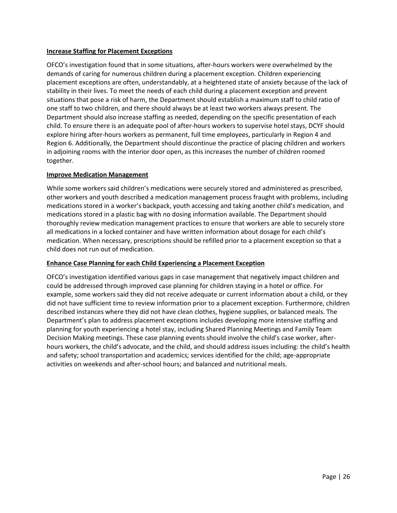#### **Increase Staffing for Placement Exceptions**

OFCO's investigation found that in some situations, after-hours workers were overwhelmed by the demands of caring for numerous children during a placement exception. Children experiencing placement exceptions are often, understandably, at a heightened state of anxiety because of the lack of stability in their lives. To meet the needs of each child during a placement exception and prevent situations that pose a risk of harm, the Department should establish a maximum staff to child ratio of one staff to two children, and there should always be at least two workers always present. The Department should also increase staffing as needed, depending on the specific presentation of each child. To ensure there is an adequate pool of after-hours workers to supervise hotel stays, DCYF should explore hiring after-hours workers as permanent, full time employees, particularly in Region 4 and Region 6. Additionally, the Department should discontinue the practice of placing children and workers in adjoining rooms with the interior door open, as this increases the number of children roomed together.

#### **Improve Medication Management**

While some workers said children's medications were securely stored and administered as prescribed, other workers and youth described a medication management process fraught with problems, including medications stored in a worker's backpack, youth accessing and taking another child's medication, and medications stored in a plastic bag with no dosing information available. The Department should thoroughly review medication management practices to ensure that workers are able to securely store all medications in a locked container and have written information about dosage for each child's medication. When necessary, prescriptions should be refilled prior to a placement exception so that a child does not run out of medication.

#### **Enhance Case Planning for each Child Experiencing a Placement Exception**

OFCO's investigation identified various gaps in case management that negatively impact children and could be addressed through improved case planning for children staying in a hotel or office. For example, some workers said they did not receive adequate or current information about a child, or they did not have sufficient time to review information prior to a placement exception. Furthermore, children described instances where they did not have clean clothes, hygiene supplies, or balanced meals. The Department's plan to address placement exceptions includes developing more intensive staffing and planning for youth experiencing a hotel stay, including Shared Planning Meetings and Family Team Decision Making meetings. These case planning events should involve the child's case worker, afterhours workers, the child's advocate, and the child, and should address issues including: the child's health and safety; school transportation and academics; services identified for the child; age-appropriate activities on weekends and after-school hours; and balanced and nutritional meals.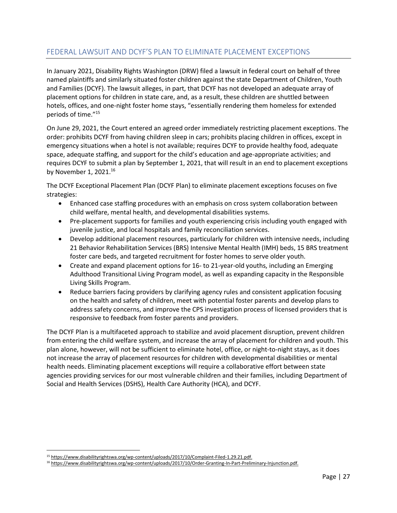# <span id="page-26-0"></span>FEDERAL LAWSUIT AND DCYF'S PLAN TO ELIMINATE PLACEMENT EXCEPTIONS

In January 2021, Disability Rights Washington (DRW) filed a lawsuit in federal court on behalf of three named plaintiffs and similarly situated foster children against the state Department of Children, Youth and Families (DCYF). The lawsuit alleges, in part, that DCYF has not developed an adequate array of placement options for children in state care, and, as a result, these children are shuttled between hotels, offices, and one-night foster home stays, "essentially rendering them homeless for extended periods of time."<sup>15</sup>

On June 29, 2021, the Court entered an agreed order immediately restricting placement exceptions. The order: prohibits DCYF from having children sleep in cars; prohibits placing children in offices, except in emergency situations when a hotel is not available; requires DCYF to provide healthy food, adequate space, adequate staffing, and support for the child's education and age-appropriate activities; and requires DCYF to submit a plan by September 1, 2021, that will result in an end to placement exceptions by November 1, 2021.<sup>16</sup>

The DCYF Exceptional Placement Plan (DCYF Plan) to eliminate placement exceptions focuses on five strategies:

- Enhanced case staffing procedures with an emphasis on cross system collaboration between child welfare, mental health, and developmental disabilities systems.
- Pre-placement supports for families and youth experiencing crisis including youth engaged with juvenile justice, and local hospitals and family reconciliation services.
- Develop additional placement resources, particularly for children with intensive needs, including 21 Behavior Rehabilitation Services (BRS) Intensive Mental Health (IMH) beds, 15 BRS treatment foster care beds, and targeted recruitment for foster homes to serve older youth.
- Create and expand placement options for 16- to 21-year-old youths, including an Emerging Adulthood Transitional Living Program model, as well as expanding capacity in the Responsible Living Skills Program.
- Reduce barriers facing providers by clarifying agency rules and consistent application focusing on the health and safety of children, meet with potential foster parents and develop plans to address safety concerns, and improve the CPS investigation process of licensed providers that is responsive to feedback from foster parents and providers.

The DCYF Plan is a multifaceted approach to stabilize and avoid placement disruption, prevent children from entering the child welfare system, and increase the array of placement for children and youth. This plan alone, however, will not be sufficient to eliminate hotel, office, or night-to-night stays, as it does not increase the array of placement resources for children with developmental disabilities or mental health needs. Eliminating placement exceptions will require a collaborative effort between state agencies providing services for our most vulnerable children and their families, including Department of Social and Health Services (DSHS), Health Care Authority (HCA), and DCYF.

<sup>15</sup> [https://www.disabilityrightswa.org/wp-content/uploads/2017/10/Complaint-Filed-1.29.21.pdf.](https://www.disabilityrightswa.org/wp-content/uploads/2017/10/Complaint-Filed-1.29.21.pdf)

<sup>16</sup> [https://www.disabilityrightswa.org/wp-content/uploads/2017/10/Order-Granting-In-Part-Preliminary-Injunction.pdf.](https://www.disabilityrightswa.org/wp-content/uploads/2017/10/Order-Granting-In-Part-Preliminary-Injunction.pdf)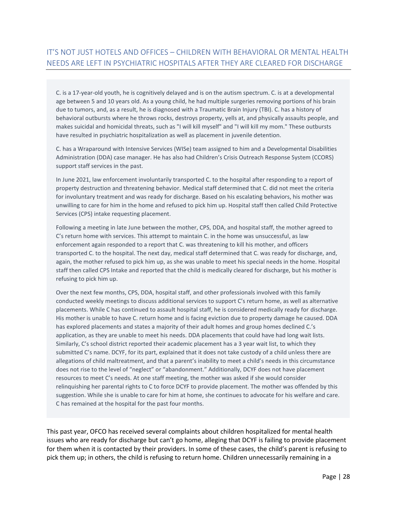<span id="page-27-0"></span>C. is a 17-year-old youth, he is cognitively delayed and is on the autism spectrum. C. is at a developmental age between 5 and 10 years old. As a young child, he had multiple surgeries removing portions of his brain due to tumors, and, as a result, he is diagnosed with a Traumatic Brain Injury (TBI). C. has a history of behavioral outbursts where he throws rocks, destroys property, yells at, and physically assaults people, and makes suicidal and homicidal threats, such as "I will kill myself" and "I will kill my mom." These outbursts have resulted in psychiatric hospitalization as well as placement in juvenile detention.

C. has a Wraparound with Intensive Services (WISe) team assigned to him and a Developmental Disabilities Administration (DDA) case manager. He has also had Children's Crisis Outreach Response System (CCORS) support staff services in the past.

In June 2021, law enforcement involuntarily transported C. to the hospital after responding to a report of property destruction and threatening behavior. Medical staff determined that C. did not meet the criteria for involuntary treatment and was ready for discharge. Based on his escalating behaviors, his mother was unwilling to care for him in the home and refused to pick him up. Hospital staff then called Child Protective Services (CPS) intake requesting placement.

Following a meeting in late June between the mother, CPS, DDA, and hospital staff, the mother agreed to C's return home with services. This attempt to maintain C. in the home was unsuccessful, as law enforcement again responded to a report that C. was threatening to kill his mother, and officers transported C. to the hospital. The next day, medical staff determined that C. was ready for discharge, and, again, the mother refused to pick him up, as she was unable to meet his special needs in the home. Hospital staff then called CPS Intake and reported that the child is medically cleared for discharge, but his mother is refusing to pick him up.

Over the next few months, CPS, DDA, hospital staff, and other professionals involved with this family conducted weekly meetings to discuss additional services to support C's return home, as well as alternative placements. While C has continued to assault hospital staff, he is considered medically ready for discharge. His mother is unable to have C. return home and is facing eviction due to property damage he caused. DDA has explored placements and states a majority of their adult homes and group homes declined C.'s application, as they are unable to meet his needs. DDA placements that could have had long wait lists. Similarly, C's school district reported their academic placement has a 3 year wait list, to which they submitted C's name. DCYF, for its part, explained that it does not take custody of a child unless there are allegations of child maltreatment, and that a parent's inability to meet a child's needs in this circumstance does not rise to the level of "neglect" or "abandonment." Additionally, DCYF does not have placement resources to meet C's needs. At one staff meeting, the mother was asked if she would consider relinquishing her parental rights to C to force DCYF to provide placement. The mother was offended by this suggestion. While she is unable to care for him at home, she continues to advocate for his welfare and care. C has remained at the hospital for the past four months.

This past year, OFCO has received several complaints about children hospitalized for mental health issues who are ready for discharge but can't go home, alleging that DCYF is failing to provide placement for them when it is contacted by their providers. In some of these cases, the child's parent is refusing to pick them up; in others, the child is refusing to return home. Children unnecessarily remaining in a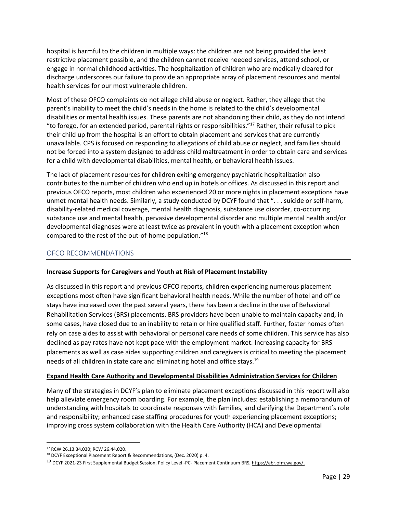hospital is harmful to the children in multiple ways: the children are not being provided the least restrictive placement possible, and the children cannot receive needed services, attend school, or engage in normal childhood activities. The hospitalization of children who are medically cleared for discharge underscores our failure to provide an appropriate array of placement resources and mental health services for our most vulnerable children.

Most of these OFCO complaints do not allege child abuse or neglect. Rather, they allege that the parent's inability to meet the child's needs in the home is related to the child's developmental disabilities or mental health issues. These parents are not abandoning their child, as they do not intend "to forego, for an extended period, parental rights or responsibilities."<sup>17</sup> Rather, their refusal to pick their child up from the hospital is an effort to obtain placement and services that are currently unavailable. CPS is focused on responding to allegations of child abuse or neglect, and families should not be forced into a system designed to address child maltreatment in order to obtain care and services for a child with developmental disabilities, mental health, or behavioral health issues.

The lack of placement resources for children exiting emergency psychiatric hospitalization also contributes to the number of children who end up in hotels or offices. As discussed in this report and previous OFCO reports, most children who experienced 20 or more nights in placement exceptions have unmet mental health needs. Similarly, a study conducted by DCYF found that ". . . suicide or self-harm, disability-related medical coverage, mental health diagnosis, substance use disorder, co-occurring substance use and mental health, pervasive developmental disorder and multiple mental health and/or developmental diagnoses were at least twice as prevalent in youth with a placement exception when compared to the rest of the out-of-home population."<sup>18</sup>

## OFCO RECOMMENDATIONS

#### **Increase Supports for Caregivers and Youth at Risk of Placement Instability**

As discussed in this report and previous OFCO reports, children experiencing numerous placement exceptions most often have significant behavioral health needs. While the number of hotel and office stays have increased over the past several years, there has been a decline in the use of Behavioral Rehabilitation Services (BRS) placements. BRS providers have been unable to maintain capacity and, in some cases, have closed due to an inability to retain or hire qualified staff. Further, foster homes often rely on case aides to assist with behavioral or personal care needs of some children. This service has also declined as pay rates have not kept pace with the employment market. Increasing capacity for BRS placements as well as case aides supporting children and caregivers is critical to meeting the placement needs of all children in state care and eliminating hotel and office stays.<sup>19</sup>

#### **Expand Health Care Authority and Developmental Disabilities Administration Services for Children**

Many of the strategies in DCYF's plan to eliminate placement exceptions discussed in this report will also help alleviate emergency room boarding. For example, the plan includes: establishing a memorandum of understanding with hospitals to coordinate responses with families, and clarifying the Department's role and responsibility; enhanced case staffing procedures for youth experiencing placement exceptions; improving cross system collaboration with the Health Care Authority (HCA) and Developmental

<sup>17</sup> RCW 26.13.34.030; RCW 26.44.020.

<sup>&</sup>lt;sup>18</sup> DCYF Exceptional Placement Report & Recommendations, (Dec. 2020) p. 4.

<sup>19</sup> DCYF 2021-23 First Supplemental Budget Session, Policy Level -PC- Placement Continuum BRS[, https://abr.ofm.wa.gov/.](https://abr.ofm.wa.gov/)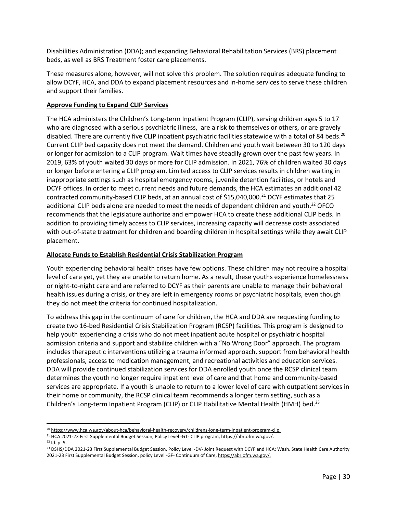Disabilities Administration (DDA); and expanding Behavioral Rehabilitation Services (BRS) placement beds, as well as BRS Treatment foster care placements.

These measures alone, however, will not solve this problem. The solution requires adequate funding to allow DCYF, HCA, and DDA to expand placement resources and in-home services to serve these children and support their families.

#### **Approve Funding to Expand CLIP Services**

The HCA administers the Children's Long-term Inpatient Program (CLIP), serving children ages 5 to 17 who are diagnosed with a serious psychiatric illness, are a risk to themselves or others, or are gravely disabled. There are currently five CLIP inpatient psychiatric facilities statewide with a total of 84 beds.<sup>20</sup> Current CLIP bed capacity does not meet the demand. Children and youth wait between 30 to 120 days or longer for admission to a CLIP program. Wait times have steadily grown over the past few years. In 2019, 63% of youth waited 30 days or more for CLIP admission. In 2021, 76% of children waited 30 days or longer before entering a CLIP program. Limited access to CLIP services results in children waiting in inappropriate settings such as hospital emergency rooms, juvenile detention facilities, or hotels and DCYF offices. In order to meet current needs and future demands, the HCA estimates an additional 42 contracted community-based CLIP beds, at an annual cost of \$15,040,000.<sup>21</sup> DCYF estimates that 25 additional CLIP beds alone are needed to meet the needs of dependent children and youth.<sup>22</sup> OFCO recommends that the legislature authorize and empower HCA to create these additional CLIP beds. In addition to providing timely access to CLIP services, increasing capacity will decrease costs associated with out-of-state treatment for children and boarding children in hospital settings while they await CLIP placement.

#### **Allocate Funds to Establish Residential Crisis Stabilization Program**

Youth experiencing behavioral health crises have few options. These children may not require a hospital level of care yet, yet they are unable to return home. As a result, these youths experience homelessness or night-to-night care and are referred to DCYF as their parents are unable to manage their behavioral health issues during a crisis, or they are left in emergency rooms or psychiatric hospitals, even though they do not meet the criteria for continued hospitalization.

To address this gap in the continuum of care for children, the HCA and DDA are requesting funding to create two 16-bed Residential Crisis Stabilization Program (RCSP) facilities. This program is designed to help youth experiencing a crisis who do not meet inpatient acute hospital or psychiatric hospital admission criteria and support and stabilize children with a "No Wrong Door" approach. The program includes therapeutic interventions utilizing a trauma informed approach, support from behavioral health professionals, access to medication management, and recreational activities and education services. DDA will provide continued stabilization services for DDA enrolled youth once the RCSP clinical team determines the youth no longer require inpatient level of care and that home and community-based services are appropriate. If a youth is unable to return to a lower level of care with outpatient services in their home or community, the RCSP clinical team recommends a longer term setting, such as a Children's Long-term Inpatient Program (CLIP) or CLIP Habilitative Mental Health (HMH) bed.<sup>23</sup>

 $22$  Id. p. 5.

<sup>&</sup>lt;sup>20</sup> [https://www.hca.wa.gov/about-hca/behavioral-health-recovery/childrens-long-term-inpatient-program-clip.](https://www.hca.wa.gov/about-hca/behavioral-health-recovery/childrens-long-term-inpatient-program-clip)

<sup>&</sup>lt;sup>21</sup> HCA 2021-23 First Supplemental Budget Session, Policy Level -GT- CLIP program[, https://abr.ofm.wa.gov/.](https://abr.ofm.wa.gov/)

<sup>&</sup>lt;sup>23</sup> DSHS/DDA 2021-23 First Supplemental Budget Session, Policy Level -DV- Joint Request with DCYF and HCA; Wash. State Health Care Authority 2021-23 First Supplemental Budget Session, policy Level -GF- Continuum of Care[, https://abr.ofm.wa.gov/.](https://abr.ofm.wa.gov/)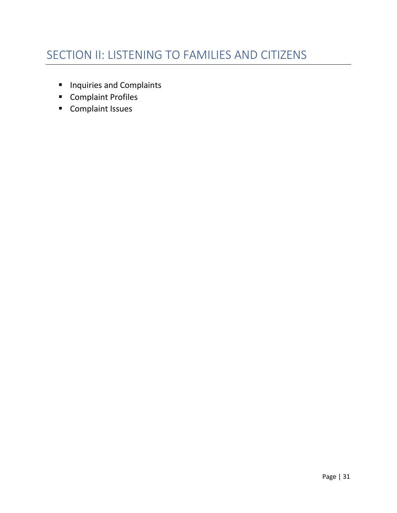- <span id="page-30-0"></span>■ Inquiries and Complaints
- Complaint Profiles
- Complaint Issues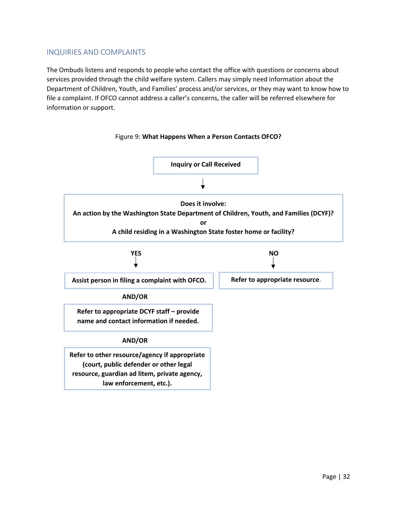## <span id="page-31-0"></span>INQUIRIES AND COMPLAINTS

The Ombuds listens and responds to people who contact the office with questions or concerns about services provided through the child welfare system. Callers may simply need information about the Department of Children, Youth, and Families' process and/or services, or they may want to know how to file a complaint. If OFCO cannot address a caller's concerns, the caller will be referred elsewhere for information or support.

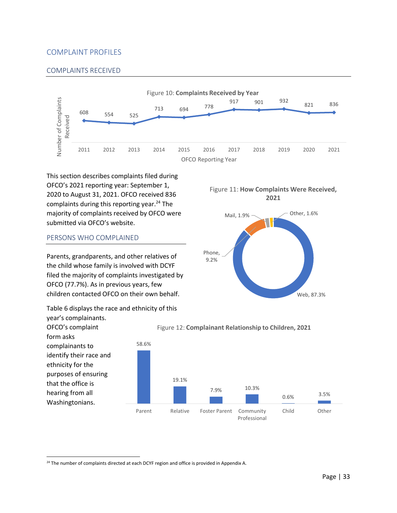## <span id="page-32-0"></span>COMPLAINT PROFILES

#### COMPLAINTS RECEIVED



Phone, 9.2%

This section describes complaints filed during OFCO's 2021 reporting year: September 1, 2020 to August 31, 2021. OFCO received 836 complaints during this reporting year.<sup>24</sup> The majority of complaints received by OFCO were submitted via OFCO's website.

#### PERSONS WHO COMPLAINED

Parents, grandparents, and other relatives of the child whose family is involved with DCYF filed the majority of complaints investigated by OFCO (77.7%). As in previous years, few children contacted OFCO on their own behalf.

Table 6 displays the race and ethnicity of this



Figure 12: **Complainant Relationship to Children, 2021**



Web, 87.3%

Mail, 1.9% \\concession 0ther, 1.6%

Figure 11: **How Complaints Were Received, 2021**

<sup>&</sup>lt;sup>24</sup> The number of complaints directed at each DCYF region and office is provided in Appendix A.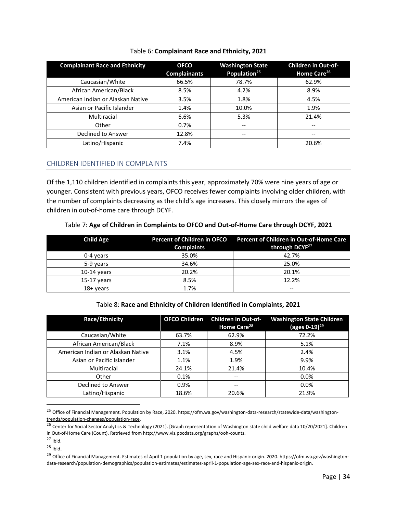| <b>Complainant Race and Ethnicity</b> | <b>OFCO</b><br><b>Complainants</b> | <b>Washington State</b><br>Population <sup>25</sup> | <b>Children in Out-of-</b><br>Home Care <sup>26</sup> |
|---------------------------------------|------------------------------------|-----------------------------------------------------|-------------------------------------------------------|
| Caucasian/White                       | 66.5%                              | 78.7%                                               | 62.9%                                                 |
| African American/Black                | 8.5%                               | 4.2%                                                | 8.9%                                                  |
| American Indian or Alaskan Native     | 3.5%                               | 1.8%                                                | 4.5%                                                  |
| Asian or Pacific Islander             | 1.4%                               | 10.0%                                               | 1.9%                                                  |
| Multiracial                           | 6.6%                               | 5.3%                                                | 21.4%                                                 |
| Other                                 | 0.7%                               | $-$                                                 | $- -$                                                 |
| Declined to Answer                    | 12.8%                              | --                                                  | $- -$                                                 |
| Latino/Hispanic                       | 7.4%                               |                                                     | 20.6%                                                 |

#### Table 6: **Complainant Race and Ethnicity, 2021**

#### CHILDREN IDENTIFIED IN COMPLAINTS

Of the 1,110 children identified in complaints this year, approximately 70% were nine years of age or younger. Consistent with previous years, OFCO receives fewer complaints involving older children, with the number of complaints decreasing as the child's age increases. This closely mirrors the ages of children in out-of-home care through DCYF.

#### Table 7: **Age of Children in Complaints to OFCO and Out-of-Home Care through DCYF, 2021**

| <b>Child Age</b> | Percent of Children in OFCO<br><b>Complaints</b> | <b>Percent of Children in Out-of-Home Care</b><br>through DCYF <sup>27</sup> |
|------------------|--------------------------------------------------|------------------------------------------------------------------------------|
| 0-4 years        | 35.0%                                            | 42.7%                                                                        |
| 5-9 years        | 34.6%                                            | 25.0%                                                                        |
| $10-14$ years    | 20.2%                                            | 20.1%                                                                        |
| $15-17$ years    | 8.5%                                             | 12.2%                                                                        |
| 18+ years        | 1.7%                                             | $\overline{\phantom{m}}$                                                     |

## Table 8: **Race and Ethnicity of Children Identified in Complaints, 2021**

| Race/Ethnicity                    | <b>OFCO Children</b> | <b>Children in Out-of-</b><br>Home Care <sup>28</sup> | <b>Washington State Children</b><br>(ages $0-19)^{29}$ |
|-----------------------------------|----------------------|-------------------------------------------------------|--------------------------------------------------------|
| Caucasian/White                   | 63.7%                | 62.9%                                                 | 72.2%                                                  |
| African American/Black            | 7.1%                 | 8.9%                                                  | 5.1%                                                   |
| American Indian or Alaskan Native | 3.1%                 | 4.5%                                                  | 2.4%                                                   |
| Asian or Pacific Islander         | 1.1%                 | 1.9%                                                  | 9.9%                                                   |
| Multiracial                       | 24.1%                | 21.4%                                                 | 10.4%                                                  |
| Other                             | 0.1%                 | --                                                    | 0.0%                                                   |
| Declined to Answer                | 0.9%                 | --                                                    | 0.0%                                                   |
| Latino/Hispanic                   | 18.6%                | 20.6%                                                 | 21.9%                                                  |

<sup>25</sup> Office of Financial Management. Population by Race, 2020[. https://ofm.wa.gov/washington-data-research/statewide-data/washington](https://ofm.wa.gov/washington-data-research/statewide-data/washington-trends/population-changes/population-race)[trends/population-changes/population-race.](https://ofm.wa.gov/washington-data-research/statewide-data/washington-trends/population-changes/population-race) 

<sup>26</sup> Center for Social Sector Analytics & Technology (2021). [Graph representation of Washington state child welfare data 10/20/2021]. Children in Out-of-Home Care (Count). Retrieved from http://www.vis.pocdata.org/graphs/ooh-counts.

 $27$  Ibid.

 $28$  Ibid.

<sup>29</sup> Office of Financial Management. Estimates of April 1 population by age, sex, race and Hispanic origin. 2020[. https://ofm.wa.gov/washington](https://ofm.wa.gov/washington-data-research/population-demographics/population-estimates/estimates-april-1-population-age-sex-race-and-hispanic-origin)[data-research/population-demographics/population-estimates/estimates-april-1-population-age-sex-race-and-hispanic-origin.](https://ofm.wa.gov/washington-data-research/population-demographics/population-estimates/estimates-april-1-population-age-sex-race-and-hispanic-origin)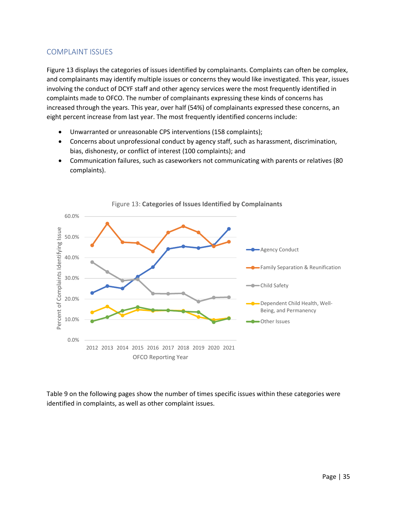## <span id="page-34-0"></span>COMPLAINT ISSUES

Figure 13 displays the categories of issues identified by complainants. Complaints can often be complex, and complainants may identify multiple issues or concerns they would like investigated. This year, issues involving the conduct of DCYF staff and other agency services were the most frequently identified in complaints made to OFCO. The number of complainants expressing these kinds of concerns has increased through the years. This year, over half (54%) of complainants expressed these concerns, an eight percent increase from last year. The most frequently identified concerns include:

- Unwarranted or unreasonable CPS interventions (158 complaints);
- Concerns about unprofessional conduct by agency staff, such as harassment, discrimination, bias, dishonesty, or conflict of interest (100 complaints); and
- Communication failures, such as caseworkers not communicating with parents or relatives (80 complaints).



Figure 13: **Categories of Issues Identified by Complainants**

Table 9 on the following pages show the number of times specific issues within these categories were identified in complaints, as well as other complaint issues.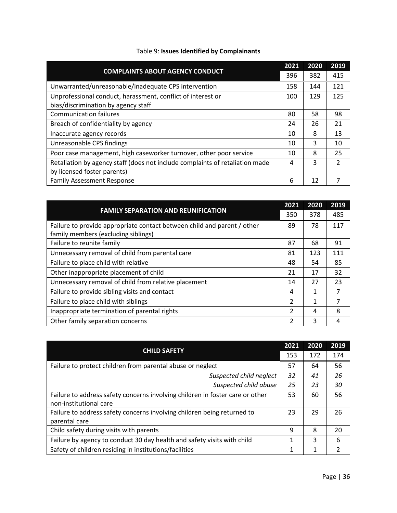| <b>COMPLAINTS ABOUT AGENCY CONDUCT</b>                                       |     | 2020 | 2019          |
|------------------------------------------------------------------------------|-----|------|---------------|
|                                                                              |     | 382  | 415           |
| Unwarranted/unreasonable/inadequate CPS intervention                         | 158 | 144  | 121           |
| Unprofessional conduct, harassment, conflict of interest or                  | 100 | 129  | 125           |
| bias/discrimination by agency staff                                          |     |      |               |
| <b>Communication failures</b>                                                | 80  | 58   | 98            |
| Breach of confidentiality by agency                                          | 24  | 26   | 21            |
| Inaccurate agency records                                                    | 10  | 8    | 13            |
| Unreasonable CPS findings                                                    | 10  | 3    | 10            |
| Poor case management, high caseworker turnover, other poor service           | 10  | 8    | 25            |
| Retaliation by agency staff (does not include complaints of retaliation made | 4   | 3    | $\mathcal{P}$ |
| by licensed foster parents)                                                  |     |      |               |
| <b>Family Assessment Response</b>                                            | 6   | 12   |               |

# Table 9: **Issues Identified by Complainants**

| <b>FAMILY SEPARATION AND REUNIFICATION</b>                              |                          | 2020 | 2019 |
|-------------------------------------------------------------------------|--------------------------|------|------|
|                                                                         |                          | 378  | 485  |
| Failure to provide appropriate contact between child and parent / other | 89                       | 78   | 117  |
| family members (excluding siblings)                                     |                          |      |      |
| Failure to reunite family                                               | 87                       | 68   | 91   |
| Unnecessary removal of child from parental care                         | 81                       | 123  | 111  |
| Failure to place child with relative                                    | 48                       | 54   | 85   |
| Other inappropriate placement of child                                  | 21                       | 17   | 32   |
| Unnecessary removal of child from relative placement                    | 14                       | 27   | 23   |
| Failure to provide sibling visits and contact                           | 4                        | 1    | 7    |
| Failure to place child with siblings                                    | $\overline{\phantom{a}}$ | 1    |      |
| Inappropriate termination of parental rights                            | $\overline{\phantom{a}}$ | 4    | 8    |
| Other family separation concerns                                        | 2                        | 3    | 4    |

|                                                                               |     | 2020 | 2019 |
|-------------------------------------------------------------------------------|-----|------|------|
| <b>CHILD SAFETY</b>                                                           | 153 | 172  | 174  |
| Failure to protect children from parental abuse or neglect                    | 57  | 64   | 56   |
| Suspected child neglect                                                       | 32  | 41   | 26   |
| Suspected child abuse                                                         | 25  | 23   | 30   |
| Failure to address safety concerns involving children in foster care or other |     | 60   | 56   |
| non-institutional care                                                        |     |      |      |
| Failure to address safety concerns involving children being returned to       |     | 29   | 26   |
| parental care                                                                 |     |      |      |
| Child safety during visits with parents                                       |     | 8    | 20   |
| Failure by agency to conduct 30 day health and safety visits with child       |     | 3    | 6    |
| Safety of children residing in institutions/facilities                        |     | 1    |      |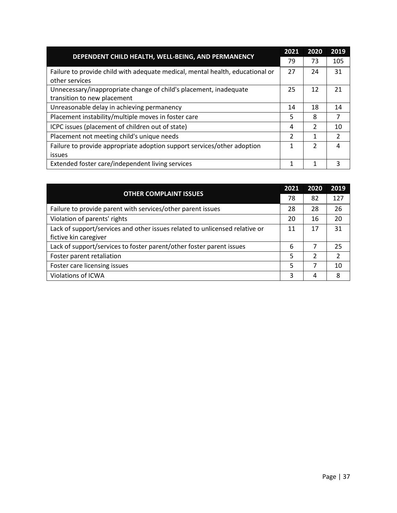|                                                                               |    | 2020          | 2019          |
|-------------------------------------------------------------------------------|----|---------------|---------------|
| DEPENDENT CHILD HEALTH, WELL-BEING, AND PERMANENCY                            | 79 | 73            | 105           |
| Failure to provide child with adequate medical, mental health, educational or | 27 | 24            | 31            |
| other services                                                                |    |               |               |
| Unnecessary/inappropriate change of child's placement, inadequate             | 25 | 12            | 21            |
| transition to new placement                                                   |    |               |               |
| Unreasonable delay in achieving permanency                                    | 14 | 18            | 14            |
| Placement instability/multiple moves in foster care                           | 5  | 8             | 7             |
| ICPC issues (placement of children out of state)                              | 4  | 2             | 10            |
| Placement not meeting child's unique needs                                    | 2  | 1             | $\mathcal{P}$ |
| Failure to provide appropriate adoption support services/other adoption       |    | $\mathcal{P}$ | 4             |
| issues                                                                        |    |               |               |
| Extended foster care/independent living services                              | 1  |               | 3             |

|                                                                             |    | 2020          | 2019           |
|-----------------------------------------------------------------------------|----|---------------|----------------|
| <b>OTHER COMPLAINT ISSUES</b>                                               | 78 | 82            | 127            |
| Failure to provide parent with services/other parent issues                 | 28 | 28            | 26             |
| Violation of parents' rights                                                | 20 | 16            | 20             |
| Lack of support/services and other issues related to unlicensed relative or | 11 | 17            | 31             |
| fictive kin caregiver                                                       |    |               |                |
| Lack of support/services to foster parent/other foster parent issues        | 6  | 7             | 25             |
| Foster parent retaliation                                                   | 5  | $\mathcal{P}$ | $\mathfrak{p}$ |
| Foster care licensing issues                                                | 5  | 7             | 10             |
| Violations of ICWA                                                          | 3  | 4             | 8              |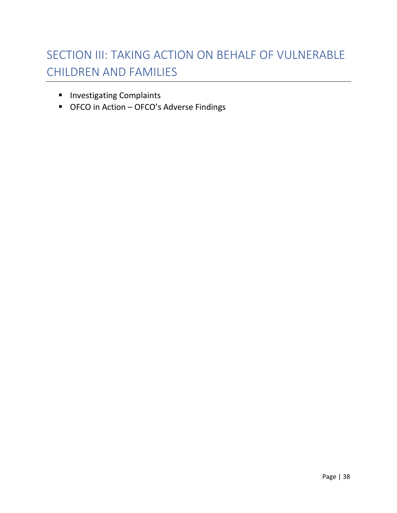# <span id="page-37-0"></span>SECTION III: TAKING ACTION ON BEHALF OF VULNERABLE CHILDREN AND FAMILIES

- Investigating Complaints
- OFCO in Action OFCO's Adverse Findings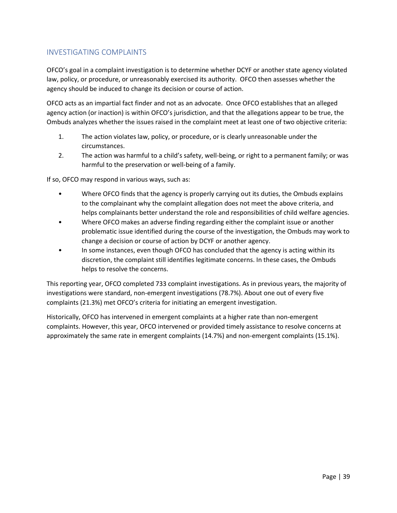## <span id="page-38-0"></span>INVESTIGATING COMPLAINTS

OFCO's goal in a complaint investigation is to determine whether DCYF or another state agency violated law, policy, or procedure, or unreasonably exercised its authority. OFCO then assesses whether the agency should be induced to change its decision or course of action.

OFCO acts as an impartial fact finder and not as an advocate. Once OFCO establishes that an alleged agency action (or inaction) is within OFCO's jurisdiction, and that the allegations appear to be true, the Ombuds analyzes whether the issues raised in the complaint meet at least one of two objective criteria:

- 1. The action violates law, policy, or procedure, or is clearly unreasonable under the circumstances.
- 2. The action was harmful to a child's safety, well-being, or right to a permanent family; or was harmful to the preservation or well-being of a family.

If so, OFCO may respond in various ways, such as:

- Where OFCO finds that the agency is properly carrying out its duties, the Ombuds explains to the complainant why the complaint allegation does not meet the above criteria, and helps complainants better understand the role and responsibilities of child welfare agencies.
- Where OFCO makes an adverse finding regarding either the complaint issue or another problematic issue identified during the course of the investigation, the Ombuds may work to change a decision or course of action by DCYF or another agency.
- In some instances, even though OFCO has concluded that the agency is acting within its discretion, the complaint still identifies legitimate concerns. In these cases, the Ombuds helps to resolve the concerns.

This reporting year, OFCO completed 733 complaint investigations. As in previous years, the majority of investigations were standard, non-emergent investigations (78.7%). About one out of every five complaints (21.3%) met OFCO's criteria for initiating an emergent investigation.

Historically, OFCO has intervened in emergent complaints at a higher rate than non-emergent complaints. However, this year, OFCO intervened or provided timely assistance to resolve concerns at approximately the same rate in emergent complaints (14.7%) and non-emergent complaints (15.1%).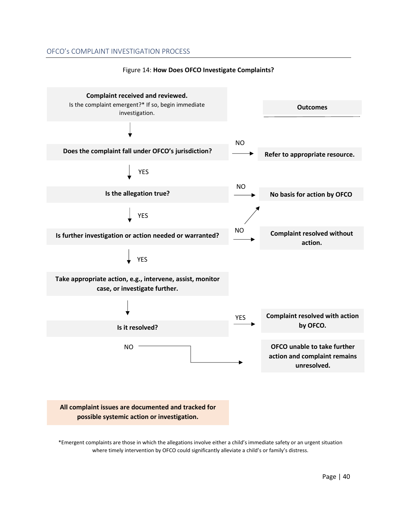#### OFCO's COMPLAINT INVESTIGATION PROCESS



#### Figure 14: **How Does OFCO Investigate Complaints?**

\*Emergent complaints are those in which the allegations involve either a child's immediate safety or an urgent situation where timely intervention by OFCO could significantly alleviate a child's or family's distress.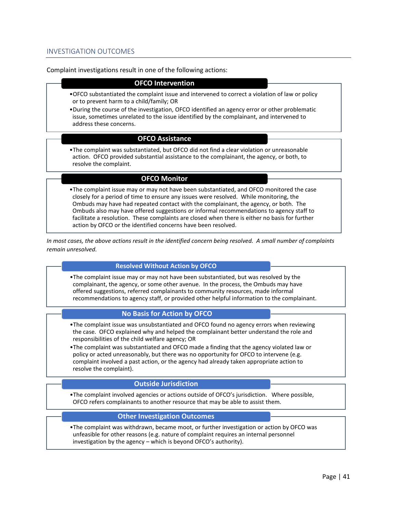#### INVESTIGATION OUTCOMES

#### Complaint investigations result in one of the following actions:

#### **OFCO Intervention**

•OFCO substantiated the complaint issue and intervened to correct a violation of law or policy or to prevent harm to a child/family; OR

•During the course of the investigation, OFCO identified an agency error or other problematic issue, sometimes unrelated to the issue identified by the complainant, and intervened to address these concerns.

#### **OFCO Assistance**

•The complaint was substantiated, but OFCO did not find a clear violation or unreasonable action. OFCO provided substantial assistance to the complainant, the agency, or both, to resolve the complaint.

#### **OFCO Monitor**

•The complaint issue may or may not have been substantiated, and OFCO monitored the case closely for a period of time to ensure any issues were resolved. While monitoring, the Ombuds may have had repeated contact with the complainant, the agency, or both. The Ombuds also may have offered suggestions or informal recommendations to agency staff to facilitate a resolution. These complaints are closed when there is either no basis for further action by OFCO or the identified concerns have been resolved.

*In most cases, the above actions result in the identified concern being resolved. A small number of complaints remain unresolved.* 

#### **Resolved Without Action by OFCO**

•The complaint issue may or may not have been substantiated, but was resolved by the complainant, the agency, or some other avenue. In the process, the Ombuds may have offered suggestions, referred complainants to community resources, made informal recommendations to agency staff, or provided other helpful information to the complainant.

#### **No Basis for Action by OFCO**

- •The complaint issue was unsubstantiated and OFCO found no agency errors when reviewing the case. OFCO explained why and helped the complainant better understand the role and responsibilities of the child welfare agency; OR
- •The complaint was substantiated and OFCO made a finding that the agency violated law or policy or acted unreasonably, but there was no opportunity for OFCO to intervene (e.g. complaint involved a past action, or the agency had already taken appropriate action to resolve the complaint).

#### **Outside Jurisdiction**

•The complaint involved agencies or actions outside of OFCO's jurisdiction. Where possible, OFCO refers complainants to another resource that may be able to assist them.

#### **Other Investigation Outcomes**

•The complaint was withdrawn, became moot, or further investigation or action by OFCO was unfeasible for other reasons (e.g. nature of complaint requires an internal personnel investigation by the agency – which is beyond OFCO's authority).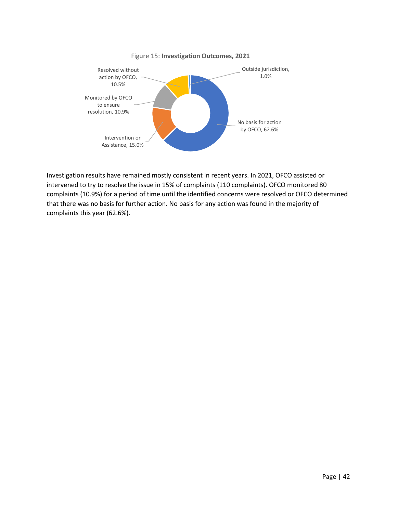

Investigation results have remained mostly consistent in recent years. In 2021, OFCO assisted or intervened to try to resolve the issue in 15% of complaints (110 complaints). OFCO monitored 80 complaints (10.9%) for a period of time until the identified concerns were resolved or OFCO determined that there was no basis for further action. No basis for any action was found in the majority of complaints this year (62.6%).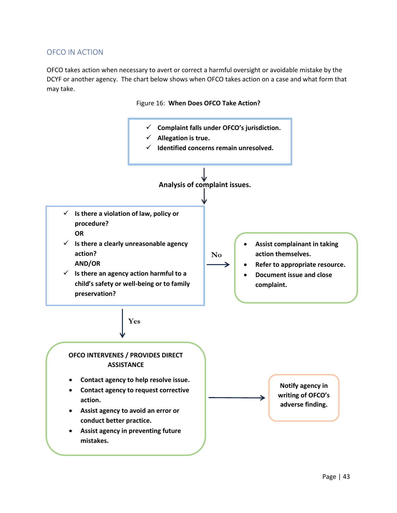## <span id="page-42-0"></span>OFCO IN ACTION

OFCO takes action when necessary to avert or correct a harmful oversight or avoidable mistake by the DCYF or another agency. The chart below shows when OFCO takes action on a case and what form that may take.



#### Figure 16: **When Does OFCO Take Action?**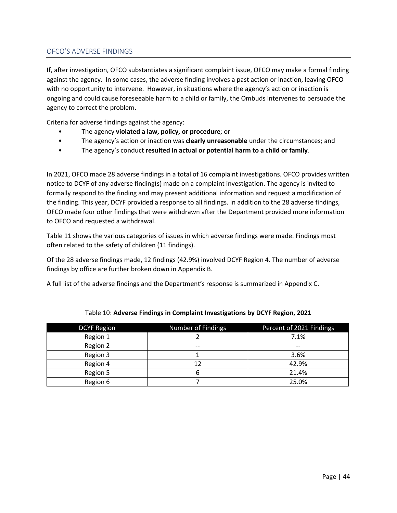#### OFCO'S ADVERSE FINDINGS

If, after investigation, OFCO substantiates a significant complaint issue, OFCO may make a formal finding against the agency. In some cases, the adverse finding involves a past action or inaction, leaving OFCO with no opportunity to intervene. However, in situations where the agency's action or inaction is ongoing and could cause foreseeable harm to a child or family, the Ombuds intervenes to persuade the agency to correct the problem.

Criteria for adverse findings against the agency:

- The agency **violated a law, policy, or procedure**; or
- The agency's action or inaction was **clearly unreasonable** under the circumstances; and
- The agency's conduct **resulted in actual or potential harm to a child or family**.

In 2021, OFCO made 28 adverse findings in a total of 16 complaint investigations. OFCO provides written notice to DCYF of any adverse finding(s) made on a complaint investigation. The agency is invited to formally respond to the finding and may present additional information and request a modification of the finding. This year, DCYF provided a response to all findings. In addition to the 28 adverse findings, OFCO made four other findings that were withdrawn after the Department provided more information to OFCO and requested a withdrawal.

Table 11 shows the various categories of issues in which adverse findings were made. Findings most often related to the safety of children (11 findings).

Of the 28 adverse findings made, 12 findings (42.9%) involved DCYF Region 4. The number of adverse findings by office are further broken down in Appendix B.

A full list of the adverse findings and the Department's response is summarized in Appendix C.

| <b>DCYF Region</b> | Number of Findings | Percent of 2021 Findings |
|--------------------|--------------------|--------------------------|
| Region 1           |                    | 7.1%                     |
| Region 2           | $- -$              | $- -$                    |
| Region 3           |                    | 3.6%                     |
| Region 4           | 12                 | 42.9%                    |
| Region 5           |                    | 21.4%                    |
| Region 6           |                    | 25.0%                    |

#### Table 10: **Adverse Findings in Complaint Investigations by DCYF Region, 2021**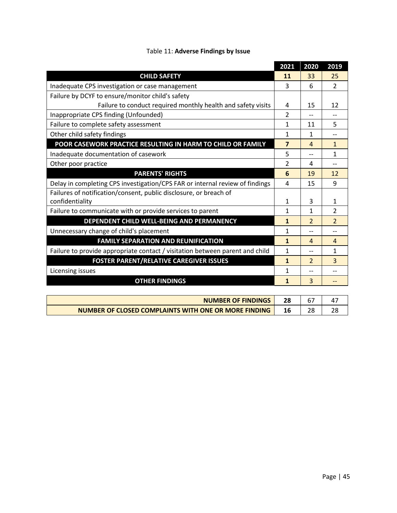|                                                                              | 2021                    | 2020           | 2019                     |
|------------------------------------------------------------------------------|-------------------------|----------------|--------------------------|
| <b>CHILD SAFETY</b>                                                          | 11                      | 33             | 25                       |
| Inadequate CPS investigation or case management                              | 3                       | 6              | $\mathcal{P}$            |
| Failure by DCYF to ensure/monitor child's safety                             |                         |                |                          |
| Failure to conduct required monthly health and safety visits                 | 4                       | 15             | 12                       |
| Inappropriate CPS finding (Unfounded)                                        | 2                       |                |                          |
| Failure to complete safety assessment                                        | 1                       | 11             | 5                        |
| Other child safety findings                                                  | 1                       | $\mathbf{1}$   | --                       |
| POOR CASEWORK PRACTICE RESULTING IN HARM TO CHILD OR FAMILY                  | $\overline{\mathbf{z}}$ | 4              | $\mathbf{1}$             |
| Inadequate documentation of casework                                         | 5                       |                | 1                        |
| Other poor practice                                                          | $\mathfrak{p}$          | 4              |                          |
| <b>PARENTS' RIGHTS</b>                                                       | 6                       | 19             | 12                       |
| Delay in completing CPS investigation/CPS FAR or internal review of findings | 4                       | 15             | 9                        |
| Failures of notification/consent, public disclosure, or breach of            |                         |                |                          |
| confidentiality                                                              | 1                       | 3              | 1                        |
| Failure to communicate with or provide services to parent                    | 1                       | 1              | $\mathfrak{p}$           |
| DEPENDENT CHILD WELL-BEING AND PERMANENCY                                    | $\mathbf{1}$            | $\overline{2}$ | $\overline{\phantom{0}}$ |
| Unnecessary change of child's placement                                      | 1                       |                |                          |
| <b>FAMILY SEPARATION AND REUNIFICATION</b>                                   | $\mathbf{1}$            | $\overline{A}$ | $\overline{4}$           |
| Failure to provide appropriate contact / visitation between parent and child | $\mathbf{1}$            | --             | $\mathbf{1}$             |
| <b>FOSTER PARENT/RELATIVE CAREGIVER ISSUES</b>                               | 1                       | $\mathcal{P}$  | 3                        |
| Licensing issues                                                             | 1                       |                |                          |
| <b>OTHER FINDINGS</b>                                                        | $\mathbf{1}$            | 3              | --                       |
|                                                                              |                         |                |                          |
| MILINADED OF FINIDINGS                                                       | no.                     | $\sim$         | $1 -$                    |

| <b>NUMBER OF FINDINGS</b>                            |  |  |
|------------------------------------------------------|--|--|
| NUMBER OF CLOSED COMPLAINTS WITH ONE OR MORE FINDING |  |  |

 $\mathsf{l}$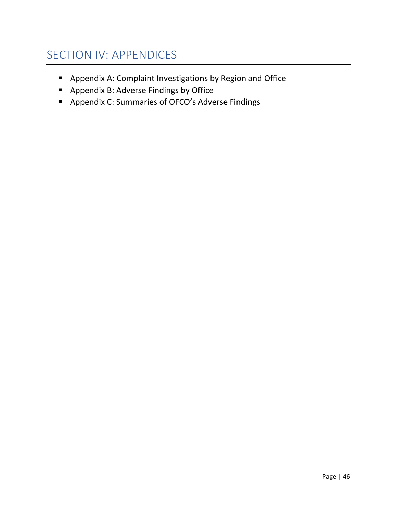# <span id="page-45-0"></span>SECTION IV: APPENDICES

- Appendix A: Complaint Investigations by Region and Office
- Appendix B: Adverse Findings by Office
- Appendix C: Summaries of OFCO's Adverse Findings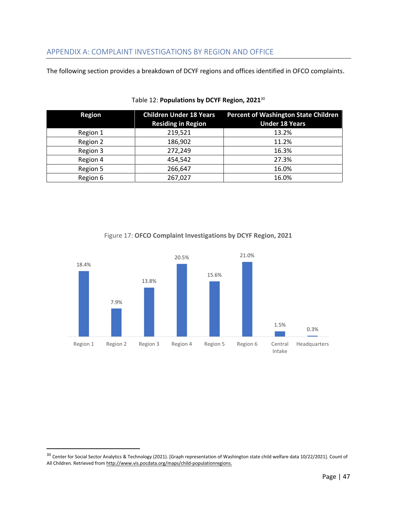<span id="page-46-0"></span>The following section provides a breakdown of DCYF regions and offices identified in OFCO complaints.

| <b>Region</b> | <b>Children Under 18 Years</b><br><b>Residing in Region</b> | <b>Percent of Washington State Children</b><br><b>Under 18 Years</b> |
|---------------|-------------------------------------------------------------|----------------------------------------------------------------------|
| Region 1      | 219,521                                                     | 13.2%                                                                |
| Region 2      | 186,902                                                     | 11.2%                                                                |
| Region 3      | 272,249                                                     | 16.3%                                                                |
| Region 4      | 454,542                                                     | 27.3%                                                                |
| Region 5      | 266,647                                                     | 16.0%                                                                |
| Region 6      | 267,027                                                     | 16.0%                                                                |

#### Table 12: **Populations by DCYF Region, 2021**<sup>30</sup>



## Figure 17: **OFCO Complaint Investigations by DCYF Region, 2021**

<sup>30</sup> Center for Social Sector Analytics & Technology (2021). [Graph representation of Washington state child welfare data 10/22/2021]. Count of All Children. Retrieved from http://www.vis.pocdata.org/maps/child-populationregions.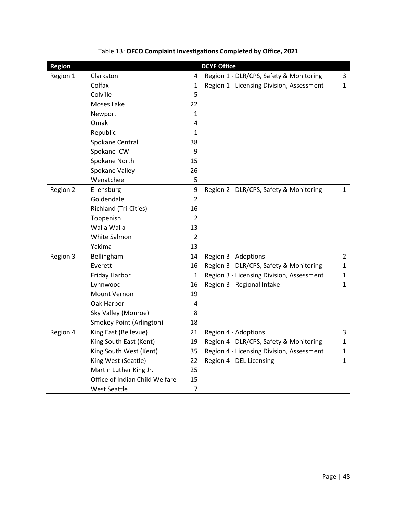| <b>Region</b> |                                |                | <b>DCYF Office</b>                        |                |
|---------------|--------------------------------|----------------|-------------------------------------------|----------------|
| Region 1      | Clarkston                      | 4              | Region 1 - DLR/CPS, Safety & Monitoring   | 3              |
|               | Colfax                         | 1              | Region 1 - Licensing Division, Assessment | $\mathbf{1}$   |
|               | Colville                       | 5              |                                           |                |
|               | Moses Lake                     | 22             |                                           |                |
|               | Newport                        | 1              |                                           |                |
|               | Omak                           | 4              |                                           |                |
|               | Republic                       | 1              |                                           |                |
|               | Spokane Central                | 38             |                                           |                |
|               | Spokane ICW                    | 9              |                                           |                |
|               | Spokane North                  | 15             |                                           |                |
|               | Spokane Valley                 | 26             |                                           |                |
|               | Wenatchee                      | 5              |                                           |                |
| Region 2      | Ellensburg                     | 9              | Region 2 - DLR/CPS, Safety & Monitoring   | $\mathbf{1}$   |
|               | Goldendale                     | $\overline{2}$ |                                           |                |
|               | Richland (Tri-Cities)          | 16             |                                           |                |
|               | Toppenish                      | 2              |                                           |                |
|               | Walla Walla                    | 13             |                                           |                |
|               | White Salmon                   | $\overline{2}$ |                                           |                |
|               | Yakima                         | 13             |                                           |                |
| Region 3      | Bellingham                     | 14             | Region 3 - Adoptions                      | $\overline{2}$ |
|               | Everett                        | 16             | Region 3 - DLR/CPS, Safety & Monitoring   | $\mathbf{1}$   |
|               | Friday Harbor                  | $\mathbf{1}$   | Region 3 - Licensing Division, Assessment | $\mathbf{1}$   |
|               | Lynnwood                       | 16             | Region 3 - Regional Intake                | $\mathbf{1}$   |
|               | Mount Vernon                   | 19             |                                           |                |
|               | Oak Harbor                     | 4              |                                           |                |
|               | Sky Valley (Monroe)            | 8              |                                           |                |
|               | Smokey Point (Arlington)       | 18             |                                           |                |
| Region 4      | King East (Bellevue)           | 21             | Region 4 - Adoptions                      | 3              |
|               | King South East (Kent)         | 19             | Region 4 - DLR/CPS, Safety & Monitoring   | $\mathbf{1}$   |
|               | King South West (Kent)         | 35             | Region 4 - Licensing Division, Assessment | 1              |
|               | King West (Seattle)            | 22             | Region 4 - DEL Licensing                  | $\mathbf{1}$   |
|               | Martin Luther King Jr.         | 25             |                                           |                |
|               | Office of Indian Child Welfare | 15             |                                           |                |
|               | <b>West Seattle</b>            | $\overline{7}$ |                                           |                |

# Table 13: **OFCO Complaint Investigations Completed by Office, 2021**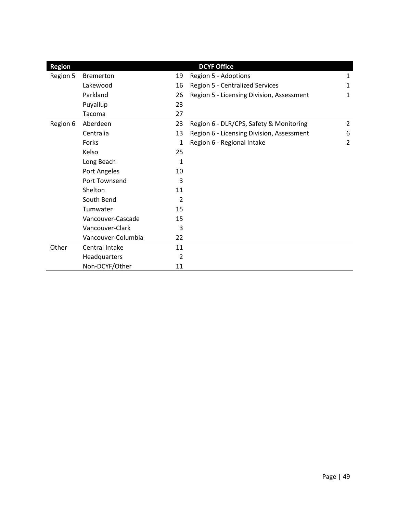| <b>Region</b> |                    |                | <b>DCYF Office</b>                        |                |
|---------------|--------------------|----------------|-------------------------------------------|----------------|
| Region 5      | <b>Bremerton</b>   | 19             | Region 5 - Adoptions                      | 1              |
|               | Lakewood           | 16             | Region 5 - Centralized Services           | 1              |
|               | Parkland           | 26             | Region 5 - Licensing Division, Assessment | 1              |
|               | Puyallup           | 23             |                                           |                |
|               | Tacoma             | 27             |                                           |                |
| Region 6      | Aberdeen           | 23             | Region 6 - DLR/CPS, Safety & Monitoring   | $\overline{2}$ |
|               | Centralia          | 13             | Region 6 - Licensing Division, Assessment | 6              |
|               | Forks              | 1              | Region 6 - Regional Intake                | 2              |
|               | Kelso              | 25             |                                           |                |
|               | Long Beach         | 1              |                                           |                |
|               | Port Angeles       | 10             |                                           |                |
|               | Port Townsend      | 3              |                                           |                |
|               | Shelton            | 11             |                                           |                |
|               | South Bend         | 2              |                                           |                |
|               | Tumwater           | 15             |                                           |                |
|               | Vancouver-Cascade  | 15             |                                           |                |
|               | Vancouver-Clark    | 3              |                                           |                |
|               | Vancouver-Columbia | 22             |                                           |                |
| Other         | Central Intake     | 11             |                                           |                |
|               | Headquarters       | $\overline{2}$ |                                           |                |
|               | Non-DCYF/Other     | 11             |                                           |                |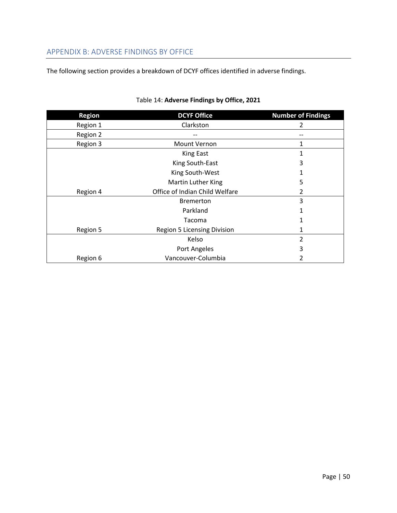## <span id="page-49-0"></span>APPENDIX B: ADVERSE FINDINGS BY OFFICE

The following section provides a breakdown of DCYF offices identified in adverse findings.

| <b>Region</b> | <b>DCYF Office</b>                 | <b>Number of Findings</b> |
|---------------|------------------------------------|---------------------------|
| Region 1      | Clarkston                          | 2                         |
| Region 2      |                                    |                           |
| Region 3      | Mount Vernon                       | 1                         |
|               | <b>King East</b>                   | 1                         |
|               | King South-East                    | 3                         |
|               | King South-West                    |                           |
|               | Martin Luther King                 | 5                         |
| Region 4      | Office of Indian Child Welfare     | 2                         |
|               | <b>Bremerton</b>                   | 3                         |
|               | Parkland                           |                           |
|               | Tacoma                             |                           |
| Region 5      | <b>Region 5 Licensing Division</b> |                           |
|               | Kelso                              | $\mathfrak z$             |
|               | Port Angeles                       | 3                         |
| Region 6      | Vancouver-Columbia                 | 2                         |

## Table 14: **Adverse Findings by Office, 2021**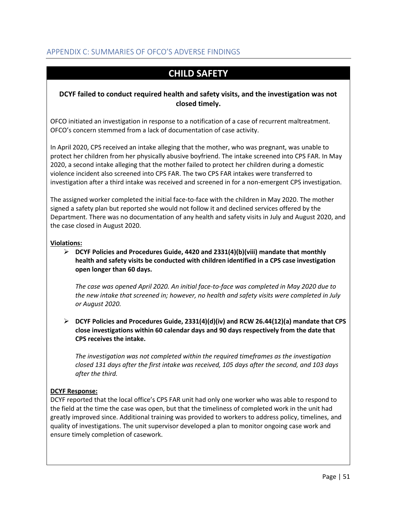# <span id="page-50-0"></span>APPENDIX C: SUMMARIES OF OFCO'S ADVERSE FINDINGS

# **CHILD SAFETY**

## **DCYF failed to conduct required health and safety visits, and the investigation was not closed timely.**

OFCO initiated an investigation in response to a notification of a case of recurrent maltreatment. OFCO's concern stemmed from a lack of documentation of case activity.

In April 2020, CPS received an intake alleging that the mother, who was pregnant, was unable to protect her children from her physically abusive boyfriend. The intake screened into CPS FAR. In May 2020, a second intake alleging that the mother failed to protect her children during a domestic violence incident also screened into CPS FAR. The two CPS FAR intakes were transferred to investigation after a third intake was received and screened in for a non-emergent CPS investigation.

The assigned worker completed the initial face-to-face with the children in May 2020. The mother signed a safety plan but reported she would not follow it and declined services offered by the Department. There was no documentation of any health and safety visits in July and August 2020, and the case closed in August 2020.

#### **Violations:**

➢ **DCYF Policies and Procedures Guide, 4420 and 2331(4)(b)(viii) mandate that monthly health and safety visits be conducted with children identified in a CPS case investigation open longer than 60 days.**

*The case was opened April 2020. An initial face-to-face was completed in May 2020 due to the new intake that screened in; however, no health and safety visits were completed in July or August 2020.* 

➢ **DCYF Policies and Procedures Guide, 2331(4)(d)(iv) and RCW 26.44(12)(a) mandate that CPS close investigations within 60 calendar days and 90 days respectively from the date that CPS receives the intake.**

*The investigation was not completed within the required timeframes as the investigation closed 131 days after the first intake was received, 105 days after the second, and 103 days after the third.* 

## **DCYF Response:**

DCYF reported that the local office's CPS FAR unit had only one worker who was able to respond to the field at the time the case was open, but that the timeliness of completed work in the unit had greatly improved since. Additional training was provided to workers to address policy, timelines, and quality of investigations. The unit supervisor developed a plan to monitor ongoing case work and ensure timely completion of casework.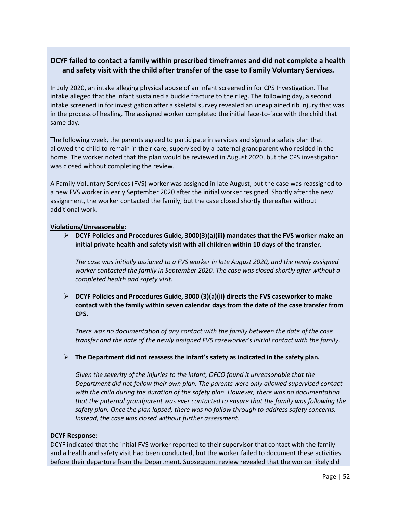## **DCYF failed to contact a family within prescribed timeframes and did not complete a health and safety visit with the child after transfer of the case to Family Voluntary Services.**

In July 2020, an intake alleging physical abuse of an infant screened in for CPS Investigation. The intake alleged that the infant sustained a buckle fracture to their leg. The following day, a second intake screened in for investigation after a skeletal survey revealed an unexplained rib injury that was in the process of healing. The assigned worker completed the initial face-to-face with the child that same day.

The following week, the parents agreed to participate in services and signed a safety plan that allowed the child to remain in their care, supervised by a paternal grandparent who resided in the home. The worker noted that the plan would be reviewed in August 2020, but the CPS investigation was closed without completing the review.

A Family Voluntary Services (FVS) worker was assigned in late August, but the case was reassigned to a new FVS worker in early September 2020 after the initial worker resigned. Shortly after the new assignment, the worker contacted the family, but the case closed shortly thereafter without additional work.

#### **Violations/Unreasonable**:

➢ **DCYF Policies and Procedures Guide, 3000(3)(a)(iii) mandates that the FVS worker make an initial private health and safety visit with all children within 10 days of the transfer.**

*The case was initially assigned to a FVS worker in late August 2020, and the newly assigned worker contacted the family in September 2020. The case was closed shortly after without a completed health and safety visit.* 

➢ **DCYF Policies and Procedures Guide, 3000 (3)(a)(ii) directs the FVS caseworker to make contact with the family within seven calendar days from the date of the case transfer from CPS.** 

*There was no documentation of any contact with the family between the date of the case transfer and the date of the newly assigned FVS caseworker's initial contact with the family.* 

➢ **The Department did not reassess the infant's safety as indicated in the safety plan.** 

*Given the severity of the injuries to the infant, OFCO found it unreasonable that the Department did not follow their own plan. The parents were only allowed supervised contact with the child during the duration of the safety plan. However, there was no documentation that the paternal grandparent was ever contacted to ensure that the family was following the safety plan. Once the plan lapsed, there was no follow through to address safety concerns. Instead, the case was closed without further assessment.* 

## **DCYF Response:**

DCYF indicated that the initial FVS worker reported to their supervisor that contact with the family and a health and safety visit had been conducted, but the worker failed to document these activities before their departure from the Department. Subsequent review revealed that the worker likely did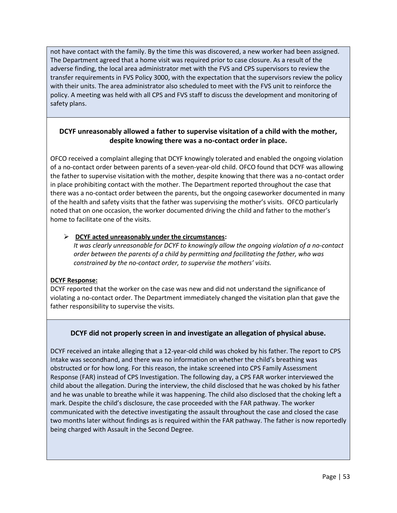not have contact with the family. By the time this was discovered, a new worker had been assigned. The Department agreed that a home visit was required prior to case closure. As a result of the adverse finding, the local area administrator met with the FVS and CPS supervisors to review the transfer requirements in FVS Policy 3000, with the expectation that the supervisors review the policy with their units. The area administrator also scheduled to meet with the FVS unit to reinforce the policy. A meeting was held with all CPS and FVS staff to discuss the development and monitoring of safety plans.

## **DCYF unreasonably allowed a father to supervise visitation of a child with the mother, despite knowing there was a no-contact order in place.**

OFCO received a complaint alleging that DCYF knowingly tolerated and enabled the ongoing violation of a no-contact order between parents of a seven-year-old child. OFCO found that DCYF was allowing the father to supervise visitation with the mother, despite knowing that there was a no-contact order in place prohibiting contact with the mother. The Department reported throughout the case that there was a no-contact order between the parents, but the ongoing caseworker documented in many of the health and safety visits that the father was supervising the mother's visits. OFCO particularly noted that on one occasion, the worker documented driving the child and father to the mother's home to facilitate one of the visits.

#### ➢ **DCYF acted unreasonably under the circumstances:**

*It was clearly unreasonable for DCYF to knowingly allow the ongoing violation of a no-contact order between the parents of a child by permitting and facilitating the father, who was constrained by the no-contact order, to supervise the mothers' visits.* 

## **DCYF Response:**

DCYF reported that the worker on the case was new and did not understand the significance of violating a no-contact order. The Department immediately changed the visitation plan that gave the father responsibility to supervise the visits.

## **DCYF did not properly screen in and investigate an allegation of physical abuse.**

DCYF received an intake alleging that a 12-year-old child was choked by his father. The report to CPS Intake was secondhand, and there was no information on whether the child's breathing was obstructed or for how long. For this reason, the intake screened into CPS Family Assessment Response (FAR) instead of CPS Investigation. The following day, a CPS FAR worker interviewed the child about the allegation. During the interview, the child disclosed that he was choked by his father and he was unable to breathe while it was happening. The child also disclosed that the choking left a mark. Despite the child's disclosure, the case proceeded with the FAR pathway. The worker communicated with the detective investigating the assault throughout the case and closed the case two months later without findings as is required within the FAR pathway. The father is now reportedly being charged with Assault in the Second Degree.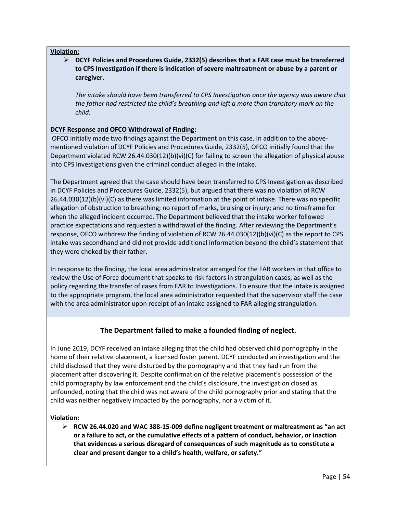#### **Violation:**

➢ **DCYF Policies and Procedures Guide, 2332(5) describes that a FAR case must be transferred to CPS Investigation if there is indication of severe maltreatment or abuse by a parent or caregiver.**

*The intake should have been transferred to CPS Investigation once the agency was aware that the father had restricted the child's breathing and left a more than transitory mark on the child.* 

## **DCYF Response and OFCO Withdrawal of Finding:**

OFCO initially made two findings against the Department on this case. In addition to the abovementioned violation of DCYF Policies and Procedures Guide, 2332(5), OFCO initially found that the Department violated RCW 26.44.030(12)(b)(vi)(C) for failing to screen the allegation of physical abuse into CPS Investigations given the criminal conduct alleged in the intake.

The Department agreed that the case should have been transferred to CPS Investigation as described in DCYF Policies and Procedures Guide, 2332(5), but argued that there was no violation of RCW 26.44.030(12)(b)(vi)(C) as there was limited information at the point of intake. There was no specific allegation of obstruction to breathing; no report of marks, bruising or injury; and no timeframe for when the alleged incident occurred. The Department believed that the intake worker followed practice expectations and requested a withdrawal of the finding. After reviewing the Department's response, OFCO withdrew the finding of violation of RCW 26.44.030(12)(b)(vi)(C) as the report to CPS intake was secondhand and did not provide additional information beyond the child's statement that they were choked by their father.

In response to the finding, the local area administrator arranged for the FAR workers in that office to review the Use of Force document that speaks to risk factors in strangulation cases, as well as the policy regarding the transfer of cases from FAR to Investigations. To ensure that the intake is assigned to the appropriate program, the local area administrator requested that the supervisor staff the case with the area administrator upon receipt of an intake assigned to FAR alleging strangulation.

## **The Department failed to make a founded finding of neglect.**

In June 2019, DCYF received an intake alleging that the child had observed child pornography in the home of their relative placement, a licensed foster parent. DCYF conducted an investigation and the child disclosed that they were disturbed by the pornography and that they had run from the placement after discovering it. Despite confirmation of the relative placement's possession of the child pornography by law enforcement and the child's disclosure, the investigation closed as unfounded, noting that the child was not aware of the child pornography prior and stating that the child was neither negatively impacted by the pornography, nor a victim of it.

#### **Violation:**

➢ **RCW 26.44.020 and WAC 388-15-009 define negligent treatment or maltreatment as "an act or a failure to act, or the cumulative effects of a pattern of conduct, behavior, or inaction that evidences a serious disregard of consequences of such magnitude as to constitute a clear and present danger to a child's health, welfare, or safety."**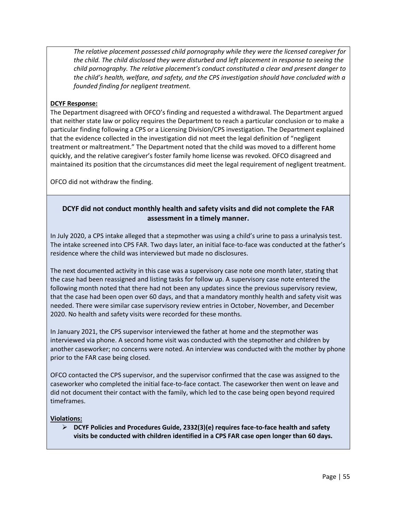*The relative placement possessed child pornography while they were the licensed caregiver for the child. The child disclosed they were disturbed and left placement in response to seeing the child pornography. The relative placement's conduct constituted a clear and present danger to the child's health, welfare, and safety, and the CPS investigation should have concluded with a founded finding for negligent treatment.* 

#### **DCYF Response:**

The Department disagreed with OFCO's finding and requested a withdrawal. The Department argued that neither state law or policy requires the Department to reach a particular conclusion or to make a particular finding following a CPS or a Licensing Division/CPS investigation. The Department explained that the evidence collected in the investigation did not meet the legal definition of "negligent treatment or maltreatment." The Department noted that the child was moved to a different home quickly, and the relative caregiver's foster family home license was revoked. OFCO disagreed and maintained its position that the circumstances did meet the legal requirement of negligent treatment.

OFCO did not withdraw the finding.

#### **DCYF did not conduct monthly health and safety visits and did not complete the FAR assessment in a timely manner.**

In July 2020, a CPS intake alleged that a stepmother was using a child's urine to pass a urinalysis test. The intake screened into CPS FAR. Two days later, an initial face-to-face was conducted at the father's residence where the child was interviewed but made no disclosures.

The next documented activity in this case was a supervisory case note one month later, stating that the case had been reassigned and listing tasks for follow up. A supervisory case note entered the following month noted that there had not been any updates since the previous supervisory review, that the case had been open over 60 days, and that a mandatory monthly health and safety visit was needed. There were similar case supervisory review entries in October, November, and December 2020. No health and safety visits were recorded for these months.

In January 2021, the CPS supervisor interviewed the father at home and the stepmother was interviewed via phone. A second home visit was conducted with the stepmother and children by another caseworker; no concerns were noted. An interview was conducted with the mother by phone prior to the FAR case being closed.

OFCO contacted the CPS supervisor, and the supervisor confirmed that the case was assigned to the caseworker who completed the initial face-to-face contact. The caseworker then went on leave and did not document their contact with the family, which led to the case being open beyond required timeframes.

#### **Violations:**

➢ **DCYF Policies and Procedures Guide, 2332(3)(e) requires face-to-face health and safety visits be conducted with children identified in a CPS FAR case open longer than 60 days.**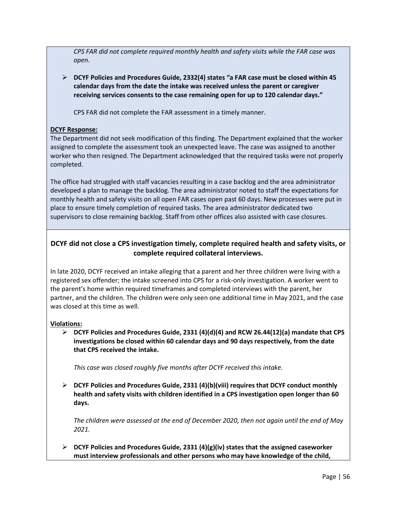*CPS FAR did not complete required monthly health and safety visits while the FAR case was open.* 

➢ **DCYF Policies and Procedures Guide, 2332(4) states "a FAR case must be closed within 45 calendar days from the date the intake was received unless the parent or caregiver receiving services consents to the case remaining open for up to 120 calendar days."**

CPS FAR did not complete the FAR assessment in a timely manner.

#### **DCYF Response:**

The Department did not seek modification of this finding. The Department explained that the worker assigned to complete the assessment took an unexpected leave. The case was assigned to another worker who then resigned. The Department acknowledged that the required tasks were not properly completed.

The office had struggled with staff vacancies resulting in a case backlog and the area administrator developed a plan to manage the backlog. The area administrator noted to staff the expectations for monthly health and safety visits on all open FAR cases open past 60 days. New processes were put in place to ensure timely completion of required tasks. The area administrator dedicated two supervisors to close remaining backlog. Staff from other offices also assisted with case closures.

## **DCYF did not close a CPS investigation timely, complete required health and safety visits, or complete required collateral interviews.**

In late 2020, DCYF received an intake alleging that a parent and her three children were living with a registered sex offender; the intake screened into CPS for a risk-only investigation. A worker went to the parent's home within required timeframes and completed interviews with the parent, her partner, and the children. The children were only seen one additional time in May 2021, and the case was closed at this time as well.

## **Violations:**

➢ **DCYF Policies and Procedures Guide, 2331 (4)(d)(4) and RCW 26.44(12)(a) mandate that CPS investigations be closed within 60 calendar days and 90 days respectively, from the date that CPS received the intake.**

*This case was closed roughly five months after DCYF received this intake.* 

➢ **DCYF Policies and Procedures Guide, 2331 (4)(b)(viii) requires that DCYF conduct monthly health and safety visits with children identified in a CPS investigation open longer than 60 days.**

*The children were assessed at the end of December 2020, then not again until the end of May 2021.*

➢ **DCYF Policies and Procedures Guide, 2331 (4)(g)(iv) states that the assigned caseworker must interview professionals and other persons who may have knowledge of the child,**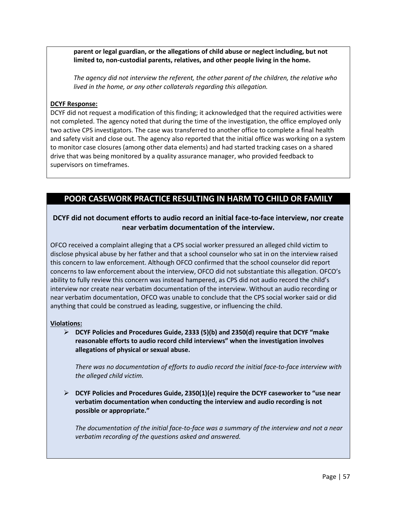**parent or legal guardian, or the allegations of child abuse or neglect including, but not limited to, non-custodial parents, relatives, and other people living in the home.** 

*The agency did not interview the referent, the other parent of the children, the relative who lived in the home, or any other collaterals regarding this allegation.* 

#### **DCYF Response:**

DCYF did not request a modification of this finding; it acknowledged that the required activities were not completed. The agency noted that during the time of the investigation, the office employed only two active CPS investigators. The case was transferred to another office to complete a final health and safety visit and close out. The agency also reported that the initial office was working on a system to monitor case closures (among other data elements) and had started tracking cases on a shared drive that was being monitored by a quality assurance manager, who provided feedback to supervisors on timeframes.

# **POOR CASEWORK PRACTICE RESULTING IN HARM TO CHILD OR FAMILY**

## **DCYF did not document efforts to audio record an initial face-to-face interview, nor create near verbatim documentation of the interview.**

OFCO received a complaint alleging that a CPS social worker pressured an alleged child victim to disclose physical abuse by her father and that a school counselor who sat in on the interview raised this concern to law enforcement. Although OFCO confirmed that the school counselor did report concerns to law enforcement about the interview, OFCO did not substantiate this allegation. OFCO's ability to fully review this concern was instead hampered, as CPS did not audio record the child's interview nor create near verbatim documentation of the interview. Without an audio recording or near verbatim documentation, OFCO was unable to conclude that the CPS social worker said or did anything that could be construed as leading, suggestive, or influencing the child.

#### **Violations:**

➢ **DCYF Policies and Procedures Guide, 2333 (5)(b) and 2350(d) require that DCYF "make reasonable efforts to audio record child interviews" when the investigation involves allegations of physical or sexual abuse.** 

*There was no documentation of efforts to audio record the initial face-to-face interview with the alleged child victim.* 

➢ **DCYF Policies and Procedures Guide, 2350(1)(e) require the DCYF caseworker to "use near verbatim documentation when conducting the interview and audio recording is not possible or appropriate."** 

*The documentation of the initial face-to-face was a summary of the interview and not a near verbatim recording of the questions asked and answered.*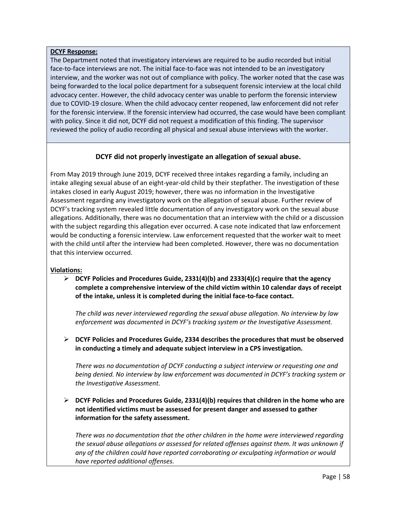#### **DCYF Response:**

The Department noted that investigatory interviews are required to be audio recorded but initial face-to-face interviews are not. The initial face-to-face was not intended to be an investigatory interview, and the worker was not out of compliance with policy. The worker noted that the case was being forwarded to the local police department for a subsequent forensic interview at the local child advocacy center. However, the child advocacy center was unable to perform the forensic interview due to COVID-19 closure. When the child advocacy center reopened, law enforcement did not refer for the forensic interview. If the forensic interview had occurred, the case would have been compliant with policy. Since it did not, DCYF did not request a modification of this finding. The supervisor reviewed the policy of audio recording all physical and sexual abuse interviews with the worker.

## **DCYF did not properly investigate an allegation of sexual abuse.**

From May 2019 through June 2019, DCYF received three intakes regarding a family, including an intake alleging sexual abuse of an eight-year-old child by their stepfather. The investigation of these intakes closed in early August 2019; however, there was no information in the Investigative Assessment regarding any investigatory work on the allegation of sexual abuse. Further review of DCYF's tracking system revealed little documentation of any investigatory work on the sexual abuse allegations. Additionally, there was no documentation that an interview with the child or a discussion with the subject regarding this allegation ever occurred. A case note indicated that law enforcement would be conducting a forensic interview. Law enforcement requested that the worker wait to meet with the child until after the interview had been completed. However, there was no documentation that this interview occurred.

#### **Violations:**

➢ **DCYF Policies and Procedures Guide, 2331(4)(b) and 2333(4)(c) require that the agency complete a comprehensive interview of the child victim within 10 calendar days of receipt of the intake, unless it is completed during the initial face-to-face contact.**

*The child was never interviewed regarding the sexual abuse allegation. No interview by law enforcement was documented in DCYF's tracking system or the Investigative Assessment.* 

➢ **DCYF Policies and Procedures Guide, 2334 describes the procedures that must be observed in conducting a timely and adequate subject interview in a CPS investigation.** 

*There was no documentation of DCYF conducting a subject interview or requesting one and being denied. No interview by law enforcement was documented in DCYF's tracking system or the Investigative Assessment.*

➢ **DCYF Policies and Procedures Guide, 2331(4)(b) requires that children in the home who are not identified victims must be assessed for present danger and assessed to gather information for the safety assessment.** 

*There was no documentation that the other children in the home were interviewed regarding the sexual abuse allegations or assessed for related offenses against them. It was unknown if any of the children could have reported corroborating or exculpating information or would have reported additional offenses.*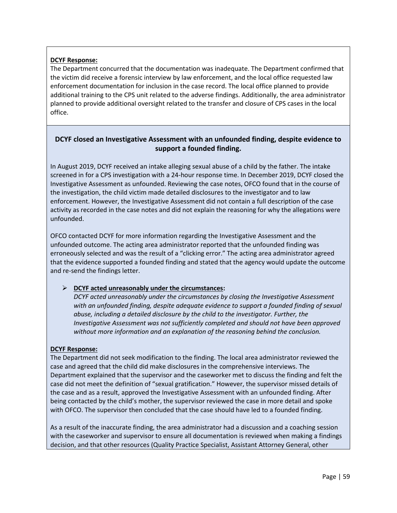## **DCYF Response:**

The Department concurred that the documentation was inadequate. The Department confirmed that the victim did receive a forensic interview by law enforcement, and the local office requested law enforcement documentation for inclusion in the case record. The local office planned to provide additional training to the CPS unit related to the adverse findings. Additionally, the area administrator planned to provide additional oversight related to the transfer and closure of CPS cases in the local office.

## **DCYF closed an Investigative Assessment with an unfounded finding, despite evidence to support a founded finding.**

In August 2019, DCYF received an intake alleging sexual abuse of a child by the father. The intake screened in for a CPS investigation with a 24-hour response time. In December 2019, DCYF closed the Investigative Assessment as unfounded. Reviewing the case notes, OFCO found that in the course of the investigation, the child victim made detailed disclosures to the investigator and to law enforcement. However, the Investigative Assessment did not contain a full description of the case activity as recorded in the case notes and did not explain the reasoning for why the allegations were unfounded.

OFCO contacted DCYF for more information regarding the Investigative Assessment and the unfounded outcome. The acting area administrator reported that the unfounded finding was erroneously selected and was the result of a "clicking error." The acting area administrator agreed that the evidence supported a founded finding and stated that the agency would update the outcome and re-send the findings letter.

## ➢ **DCYF acted unreasonably under the circumstances:**

*DCYF acted unreasonably under the circumstances by closing the Investigative Assessment with an unfounded finding, despite adequate evidence to support a founded finding of sexual abuse, including a detailed disclosure by the child to the investigator. Further, the Investigative Assessment was not sufficiently completed and should not have been approved without more information and an explanation of the reasoning behind the conclusion.* 

## **DCYF Response:**

The Department did not seek modification to the finding. The local area administrator reviewed the case and agreed that the child did make disclosures in the comprehensive interviews. The Department explained that the supervisor and the caseworker met to discuss the finding and felt the case did not meet the definition of "sexual gratification." However, the supervisor missed details of the case and as a result, approved the Investigative Assessment with an unfounded finding. After being contacted by the child's mother, the supervisor reviewed the case in more detail and spoke with OFCO. The supervisor then concluded that the case should have led to a founded finding.

As a result of the inaccurate finding, the area administrator had a discussion and a coaching session with the caseworker and supervisor to ensure all documentation is reviewed when making a findings decision, and that other resources (Quality Practice Specialist, Assistant Attorney General, other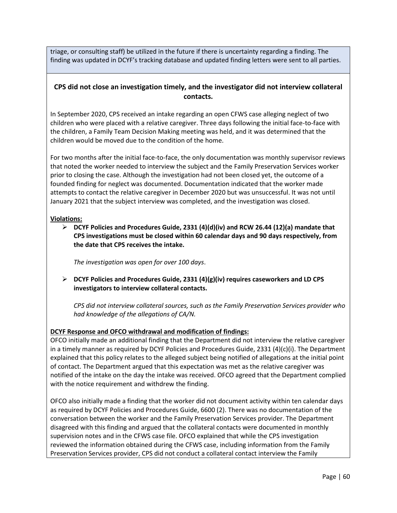triage, or consulting staff) be utilized in the future if there is uncertainty regarding a finding. The finding was updated in DCYF's tracking database and updated finding letters were sent to all parties.

## **CPS did not close an investigation timely, and the investigator did not interview collateral contacts.**

In September 2020, CPS received an intake regarding an open CFWS case alleging neglect of two children who were placed with a relative caregiver. Three days following the initial face-to-face with the children, a Family Team Decision Making meeting was held, and it was determined that the children would be moved due to the condition of the home.

For two months after the initial face-to-face, the only documentation was monthly supervisor reviews that noted the worker needed to interview the subject and the Family Preservation Services worker prior to closing the case. Although the investigation had not been closed yet, the outcome of a founded finding for neglect was documented. Documentation indicated that the worker made attempts to contact the relative caregiver in December 2020 but was unsuccessful. It was not until January 2021 that the subject interview was completed, and the investigation was closed.

#### **Violations:**

➢ **DCYF Policies and Procedures Guide, 2331 (4)(d)(iv) and RCW 26.44 (12)(a) mandate that CPS investigations must be closed within 60 calendar days and 90 days respectively, from the date that CPS receives the intake.**

*The investigation was open for over 100 days*.

➢ **DCYF Policies and Procedures Guide, 2331 (4)(g)(iv) requires caseworkers and LD CPS investigators to interview collateral contacts.** 

*CPS did not interview collateral sources, such as the Family Preservation Services provider who had knowledge of the allegations of CA/N.* 

## **DCYF Response and OFCO withdrawal and modification of findings:**

OFCO initially made an additional finding that the Department did not interview the relative caregiver in a timely manner as required by DCYF Policies and Procedures Guide, 2331 (4)(c)(i). The Department explained that this policy relates to the alleged subject being notified of allegations at the initial point of contact. The Department argued that this expectation was met as the relative caregiver was notified of the intake on the day the intake was received. OFCO agreed that the Department complied with the notice requirement and withdrew the finding.

OFCO also initially made a finding that the worker did not document activity within ten calendar days as required by DCYF Policies and Procedures Guide, 6600 (2). There was no documentation of the conversation between the worker and the Family Preservation Services provider. The Department disagreed with this finding and argued that the collateral contacts were documented in monthly supervision notes and in the CFWS case file. OFCO explained that while the CPS investigation reviewed the information obtained during the CFWS case, including information from the Family Preservation Services provider, CPS did not conduct a collateral contact interview the Family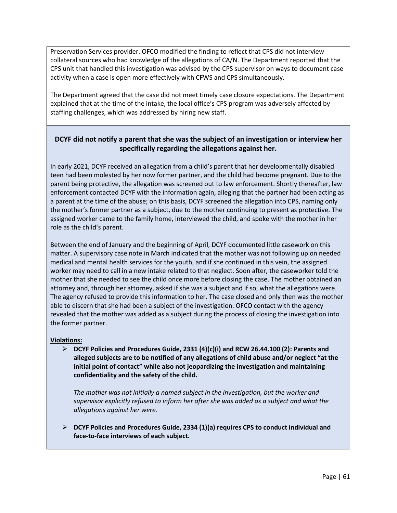Preservation Services provider. OFCO modified the finding to reflect that CPS did not interview collateral sources who had knowledge of the allegations of CA/N. The Department reported that the CPS unit that handled this investigation was advised by the CPS supervisor on ways to document case activity when a case is open more effectively with CFWS and CPS simultaneously.

The Department agreed that the case did not meet timely case closure expectations. The Department explained that at the time of the intake, the local office's CPS program was adversely affected by staffing challenges, which was addressed by hiring new staff.

## **DCYF did not notify a parent that she was the subject of an investigation or interview her specifically regarding the allegations against her.**

In early 2021, DCYF received an allegation from a child's parent that her developmentally disabled teen had been molested by her now former partner, and the child had become pregnant. Due to the parent being protective, the allegation was screened out to law enforcement. Shortly thereafter, law enforcement contacted DCYF with the information again, alleging that the partner had been acting as a parent at the time of the abuse; on this basis, DCYF screened the allegation into CPS, naming only the mother's former partner as a subject, due to the mother continuing to present as protective. The assigned worker came to the family home, interviewed the child, and spoke with the mother in her role as the child's parent.

Between the end of January and the beginning of April, DCYF documented little casework on this matter. A supervisory case note in March indicated that the mother was not following up on needed medical and mental health services for the youth, and if she continued in this vein, the assigned worker may need to call in a new intake related to that neglect. Soon after, the caseworker told the mother that she needed to see the child once more before closing the case. The mother obtained an attorney and, through her attorney, asked if she was a subject and if so, what the allegations were. The agency refused to provide this information to her. The case closed and only then was the mother able to discern that she had been a subject of the investigation. OFCO contact with the agency revealed that the mother was added as a subject during the process of closing the investigation into the former partner.

#### **Violations:**

➢ **DCYF Policies and Procedures Guide, 2331 (4)(c)(i) and RCW 26.44.100 (2): Parents and alleged subjects are to be notified of any allegations of child abuse and/or neglect "at the initial point of contact" while also not jeopardizing the investigation and maintaining confidentiality and the safety of the child.**

*The mother was not initially a named subject in the investigation, but the worker and supervisor explicitly refused to inform her after she was added as a subject and what the allegations against her were.* 

➢ **DCYF Policies and Procedures Guide, 2334 (1)(a) requires CPS to conduct individual and face-to-face interviews of each subject.**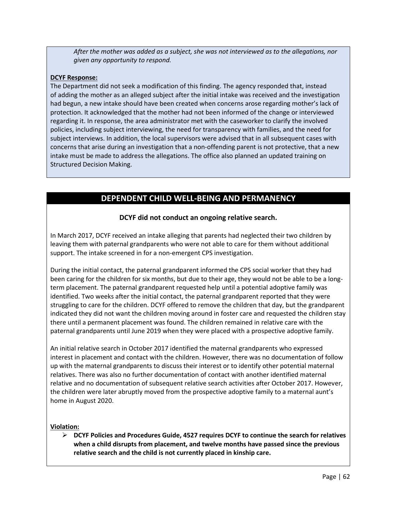*After the mother was added as a subject, she was not interviewed as to the allegations, nor given any opportunity to respond.* 

#### **DCYF Response:**

The Department did not seek a modification of this finding. The agency responded that, instead of adding the mother as an alleged subject after the initial intake was received and the investigation had begun, a new intake should have been created when concerns arose regarding mother's lack of protection. It acknowledged that the mother had not been informed of the change or interviewed regarding it. In response, the area administrator met with the caseworker to clarify the involved policies, including subject interviewing, the need for transparency with families, and the need for subject interviews. In addition, the local supervisors were advised that in all subsequent cases with concerns that arise during an investigation that a non-offending parent is not protective, that a new intake must be made to address the allegations. The office also planned an updated training on Structured Decision Making.

# **DEPENDENT CHILD WELL-BEING AND PERMANENCY**

## **DCYF did not conduct an ongoing relative search.**

In March 2017, DCYF received an intake alleging that parents had neglected their two children by leaving them with paternal grandparents who were not able to care for them without additional support. The intake screened in for a non-emergent CPS investigation.

During the initial contact, the paternal grandparent informed the CPS social worker that they had been caring for the children for six months, but due to their age, they would not be able to be a longterm placement. The paternal grandparent requested help until a potential adoptive family was identified. Two weeks after the initial contact, the paternal grandparent reported that they were struggling to care for the children. DCYF offered to remove the children that day, but the grandparent indicated they did not want the children moving around in foster care and requested the children stay there until a permanent placement was found. The children remained in relative care with the paternal grandparents until June 2019 when they were placed with a prospective adoptive family.

An initial relative search in October 2017 identified the maternal grandparents who expressed interest in placement and contact with the children. However, there was no documentation of follow up with the maternal grandparents to discuss their interest or to identify other potential maternal relatives. There was also no further documentation of contact with another identified maternal relative and no documentation of subsequent relative search activities after October 2017. However, the children were later abruptly moved from the prospective adoptive family to a maternal aunt's home in August 2020.

#### **Violation:**

➢ **DCYF Policies and Procedures Guide, 4527 requires DCYF to continue the search for relatives when a child disrupts from placement, and twelve months have passed since the previous relative search and the child is not currently placed in kinship care.**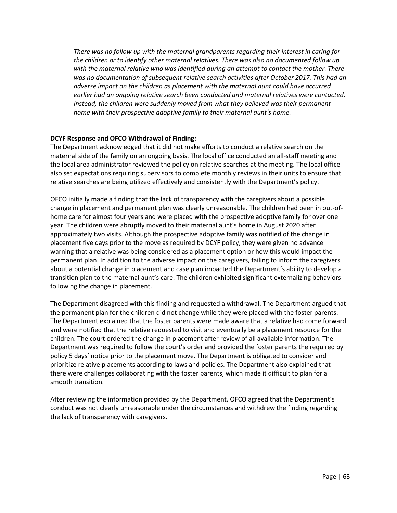*There was no follow up with the maternal grandparents regarding their interest in caring for the children or to identify other maternal relatives. There was also no documented follow up with the maternal relative who was identified during an attempt to contact the mother. There was no documentation of subsequent relative search activities after October 2017. This had an adverse impact on the children as placement with the maternal aunt could have occurred earlier had an ongoing relative search been conducted and maternal relatives were contacted. Instead, the children were suddenly moved from what they believed was their permanent home with their prospective adoptive family to their maternal aunt's home.* 

#### **DCYF Response and OFCO Withdrawal of Finding:**

The Department acknowledged that it did not make efforts to conduct a relative search on the maternal side of the family on an ongoing basis. The local office conducted an all-staff meeting and the local area administrator reviewed the policy on relative searches at the meeting. The local office also set expectations requiring supervisors to complete monthly reviews in their units to ensure that relative searches are being utilized effectively and consistently with the Department's policy.

OFCO initially made a finding that the lack of transparency with the caregivers about a possible change in placement and permanent plan was clearly unreasonable. The children had been in out-ofhome care for almost four years and were placed with the prospective adoptive family for over one year. The children were abruptly moved to their maternal aunt's home in August 2020 after approximately two visits. Although the prospective adoptive family was notified of the change in placement five days prior to the move as required by DCYF policy, they were given no advance warning that a relative was being considered as a placement option or how this would impact the permanent plan. In addition to the adverse impact on the caregivers, failing to inform the caregivers about a potential change in placement and case plan impacted the Department's ability to develop a transition plan to the maternal aunt's care. The children exhibited significant externalizing behaviors following the change in placement.

The Department disagreed with this finding and requested a withdrawal. The Department argued that the permanent plan for the children did not change while they were placed with the foster parents. The Department explained that the foster parents were made aware that a relative had come forward and were notified that the relative requested to visit and eventually be a placement resource for the children. The court ordered the change in placement after review of all available information. The Department was required to follow the court's order and provided the foster parents the required by policy 5 days' notice prior to the placement move. The Department is obligated to consider and prioritize relative placements according to laws and policies. The Department also explained that there were challenges collaborating with the foster parents, which made it difficult to plan for a smooth transition.

After reviewing the information provided by the Department, OFCO agreed that the Department's conduct was not clearly unreasonable under the circumstances and withdrew the finding regarding the lack of transparency with caregivers.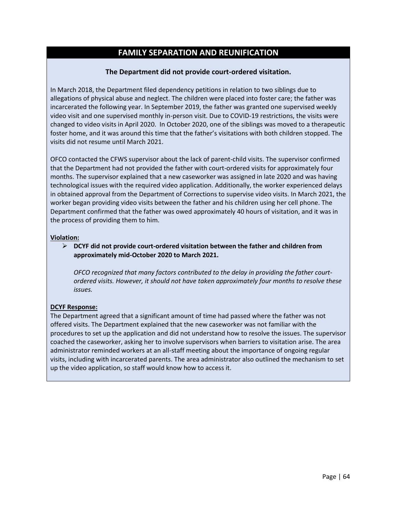# **FAMILY SEPARATION AND REUNIFICATION**

#### **The Department did not provide court-ordered visitation.**

In March 2018, the Department filed dependency petitions in relation to two siblings due to allegations of physical abuse and neglect. The children were placed into foster care; the father was incarcerated the following year. In September 2019, the father was granted one supervised weekly video visit and one supervised monthly in-person visit. Due to COVID-19 restrictions, the visits were changed to video visits in April 2020. In October 2020, one of the siblings was moved to a therapeutic foster home, and it was around this time that the father's visitations with both children stopped. The visits did not resume until March 2021.

OFCO contacted the CFWS supervisor about the lack of parent-child visits. The supervisor confirmed that the Department had not provided the father with court-ordered visits for approximately four months. The supervisor explained that a new caseworker was assigned in late 2020 and was having technological issues with the required video application. Additionally, the worker experienced delays in obtained approval from the Department of Corrections to supervise video visits. In March 2021, the worker began providing video visits between the father and his children using her cell phone. The Department confirmed that the father was owed approximately 40 hours of visitation, and it was in the process of providing them to him.

#### **Violation:**

➢ **DCYF did not provide court-ordered visitation between the father and children from approximately mid-October 2020 to March 2021.** 

*OFCO recognized that many factors contributed to the delay in providing the father courtordered visits. However, it should not have taken approximately four months to resolve these issues.* 

#### **DCYF Response:**

The Department agreed that a significant amount of time had passed where the father was not offered visits. The Department explained that the new caseworker was not familiar with the procedures to set up the application and did not understand how to resolve the issues. The supervisor coached the caseworker, asking her to involve supervisors when barriers to visitation arise. The area administrator reminded workers at an all-staff meeting about the importance of ongoing regular visits, including with incarcerated parents. The area administrator also outlined the mechanism to set up the video application, so staff would know how to access it.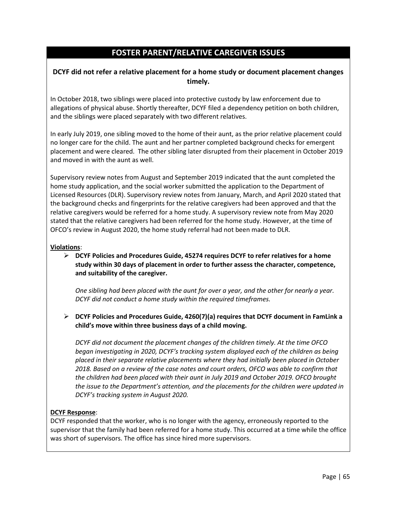# **FOSTER PARENT/RELATIVE CAREGIVER ISSUES**

## **DCYF did not refer a relative placement for a home study or document placement changes timely.**

In October 2018, two siblings were placed into protective custody by law enforcement due to allegations of physical abuse. Shortly thereafter, DCYF filed a dependency petition on both children, and the siblings were placed separately with two different relatives.

In early July 2019, one sibling moved to the home of their aunt, as the prior relative placement could no longer care for the child. The aunt and her partner completed background checks for emergent placement and were cleared. The other sibling later disrupted from their placement in October 2019 and moved in with the aunt as well.

Supervisory review notes from August and September 2019 indicated that the aunt completed the home study application, and the social worker submitted the application to the Department of Licensed Resources (DLR). Supervisory review notes from January, March, and April 2020 stated that the background checks and fingerprints for the relative caregivers had been approved and that the relative caregivers would be referred for a home study. A supervisory review note from May 2020 stated that the relative caregivers had been referred for the home study. However, at the time of OFCO's review in August 2020, the home study referral had not been made to DLR.

#### **Violations**:

➢ **DCYF Policies and Procedures Guide, 45274 requires DCYF to refer relatives for a home study within 30 days of placement in order to further assess the character, competence, and suitability of the caregiver.** 

*One sibling had been placed with the aunt for over a year, and the other for nearly a year. DCYF did not conduct a home study within the required timeframes.* 

➢ **DCYF Policies and Procedures Guide, 4260(7)(a) requires that DCYF document in FamLink a child's move within three business days of a child moving.** 

*DCYF did not document the placement changes of the children timely. At the time OFCO began investigating in 2020, DCYF's tracking system displayed each of the children as being placed in their separate relative placements where they had initially been placed in October 2018. Based on a review of the case notes and court orders, OFCO was able to confirm that the children had been placed with their aunt in July 2019 and October 2019. OFCO brought the issue to the Department's attention, and the placements for the children were updated in DCYF's tracking system in August 2020.* 

#### **DCYF Response**:

DCYF responded that the worker, who is no longer with the agency, erroneously reported to the supervisor that the family had been referred for a home study. This occurred at a time while the office was short of supervisors. The office has since hired more supervisors.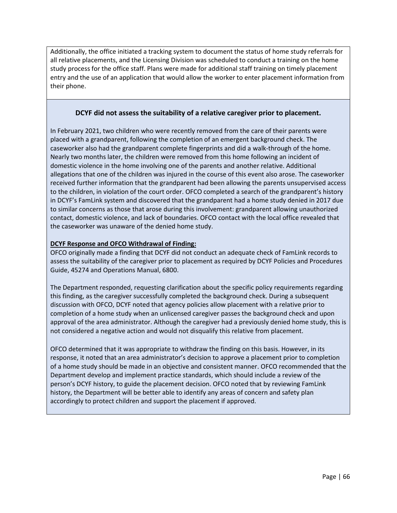Additionally, the office initiated a tracking system to document the status of home study referrals for all relative placements, and the Licensing Division was scheduled to conduct a training on the home study process for the office staff. Plans were made for additional staff training on timely placement entry and the use of an application that would allow the worker to enter placement information from their phone.

#### **DCYF did not assess the suitability of a relative caregiver prior to placement.**

In February 2021, two children who were recently removed from the care of their parents were placed with a grandparent, following the completion of an emergent background check. The caseworker also had the grandparent complete fingerprints and did a walk-through of the home. Nearly two months later, the children were removed from this home following an incident of domestic violence in the home involving one of the parents and another relative. Additional allegations that one of the children was injured in the course of this event also arose. The caseworker received further information that the grandparent had been allowing the parents unsupervised access to the children, in violation of the court order. OFCO completed a search of the grandparent's history in DCYF's FamLink system and discovered that the grandparent had a home study denied in 2017 due to similar concerns as those that arose during this involvement: grandparent allowing unauthorized contact, domestic violence, and lack of boundaries. OFCO contact with the local office revealed that the caseworker was unaware of the denied home study.

#### **DCYF Response and OFCO Withdrawal of Finding:**

OFCO originally made a finding that DCYF did not conduct an adequate check of FamLink records to assess the suitability of the caregiver prior to placement as required by DCYF Policies and Procedures Guide, 45274 and Operations Manual, 6800.

The Department responded, requesting clarification about the specific policy requirements regarding this finding, as the caregiver successfully completed the background check. During a subsequent discussion with OFCO, DCYF noted that agency policies allow placement with a relative prior to completion of a home study when an unlicensed caregiver passes the background check and upon approval of the area administrator. Although the caregiver had a previously denied home study, this is not considered a negative action and would not disqualify this relative from placement.

OFCO determined that it was appropriate to withdraw the finding on this basis. However, in its response, it noted that an area administrator's decision to approve a placement prior to completion of a home study should be made in an objective and consistent manner. OFCO recommended that the Department develop and implement practice standards, which should include a review of the person's DCYF history, to guide the placement decision. OFCO noted that by reviewing FamLink history, the Department will be better able to identify any areas of concern and safety plan accordingly to protect children and support the placement if approved.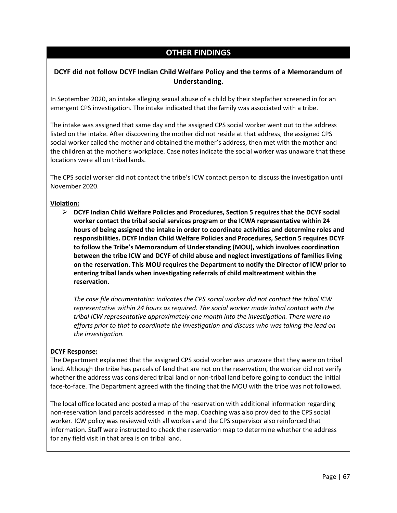# **OTHER FINDINGS**

## **DCYF did not follow DCYF Indian Child Welfare Policy and the terms of a Memorandum of Understanding.**

In September 2020, an intake alleging sexual abuse of a child by their stepfather screened in for an emergent CPS investigation. The intake indicated that the family was associated with a tribe.

The intake was assigned that same day and the assigned CPS social worker went out to the address listed on the intake. After discovering the mother did not reside at that address, the assigned CPS social worker called the mother and obtained the mother's address, then met with the mother and the children at the mother's workplace. Case notes indicate the social worker was unaware that these locations were all on tribal lands.

The CPS social worker did not contact the tribe's ICW contact person to discuss the investigation until November 2020.

#### **Violation:**

➢ **DCYF Indian Child Welfare Policies and Procedures, Section 5 requires that the DCYF social worker contact the tribal social services program or the ICWA representative within 24 hours of being assigned the intake in order to coordinate activities and determine roles and responsibilities. DCYF Indian Child Welfare Policies and Procedures, Section 5 requires DCYF to follow the Tribe's Memorandum of Understanding (MOU), which involves coordination between the tribe ICW and DCYF of child abuse and neglect investigations of families living on the reservation. This MOU requires the Department to notify the Director of ICW prior to entering tribal lands when investigating referrals of child maltreatment within the reservation.**

*The case file documentation indicates the CPS social worker did not contact the tribal ICW representative within 24 hours as required. The social worker made initial contact with the tribal ICW representative approximately one month into the investigation. There were no efforts prior to that to coordinate the investigation and discuss who was taking the lead on the investigation.*

#### **DCYF Response:**

The Department explained that the assigned CPS social worker was unaware that they were on tribal land. Although the tribe has parcels of land that are not on the reservation, the worker did not verify whether the address was considered tribal land or non-tribal land before going to conduct the initial face-to-face. The Department agreed with the finding that the MOU with the tribe was not followed.

The local office located and posted a map of the reservation with additional information regarding non-reservation land parcels addressed in the map. Coaching was also provided to the CPS social worker. ICW policy was reviewed with all workers and the CPS supervisor also reinforced that information. Staff were instructed to check the reservation map to determine whether the address for any field visit in that area is on tribal land.